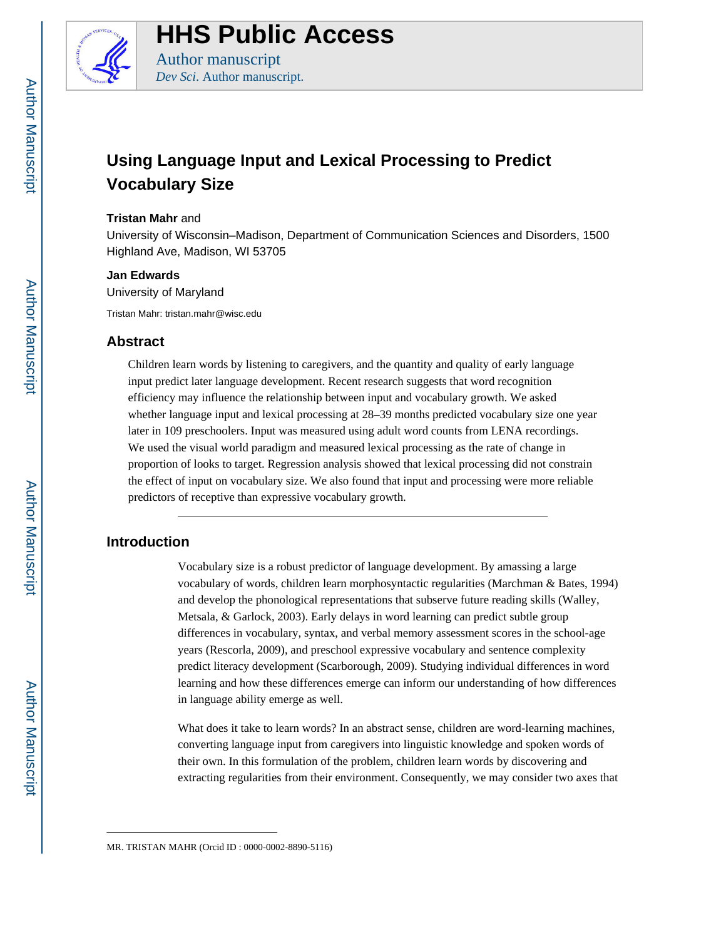

**HHS Public Access**

Author manuscript *Dev Sci*. Author manuscript.

# **Using Language Input and Lexical Processing to Predict Vocabulary Size**

#### **Tristan Mahr** and

University of Wisconsin–Madison, Department of Communication Sciences and Disorders, 1500 Highland Ave, Madison, WI 53705

#### **Jan Edwards**

University of Maryland

Tristan Mahr: tristan.mahr@wisc.edu

## **Abstract**

Children learn words by listening to caregivers, and the quantity and quality of early language input predict later language development. Recent research suggests that word recognition efficiency may influence the relationship between input and vocabulary growth. We asked whether language input and lexical processing at 28–39 months predicted vocabulary size one year later in 109 preschoolers. Input was measured using adult word counts from LENA recordings. We used the visual world paradigm and measured lexical processing as the rate of change in proportion of looks to target. Regression analysis showed that lexical processing did not constrain the effect of input on vocabulary size. We also found that input and processing were more reliable predictors of receptive than expressive vocabulary growth.

# **Introduction**

Vocabulary size is a robust predictor of language development. By amassing a large vocabulary of words, children learn morphosyntactic regularities (Marchman & Bates, 1994) and develop the phonological representations that subserve future reading skills (Walley, Metsala, & Garlock, 2003). Early delays in word learning can predict subtle group differences in vocabulary, syntax, and verbal memory assessment scores in the school-age years (Rescorla, 2009), and preschool expressive vocabulary and sentence complexity predict literacy development (Scarborough, 2009). Studying individual differences in word learning and how these differences emerge can inform our understanding of how differences in language ability emerge as well.

What does it take to learn words? In an abstract sense, children are word-learning machines, converting language input from caregivers into linguistic knowledge and spoken words of their own. In this formulation of the problem, children learn words by discovering and extracting regularities from their environment. Consequently, we may consider two axes that

MR. TRISTAN MAHR (Orcid ID : 0000-0002-8890-5116)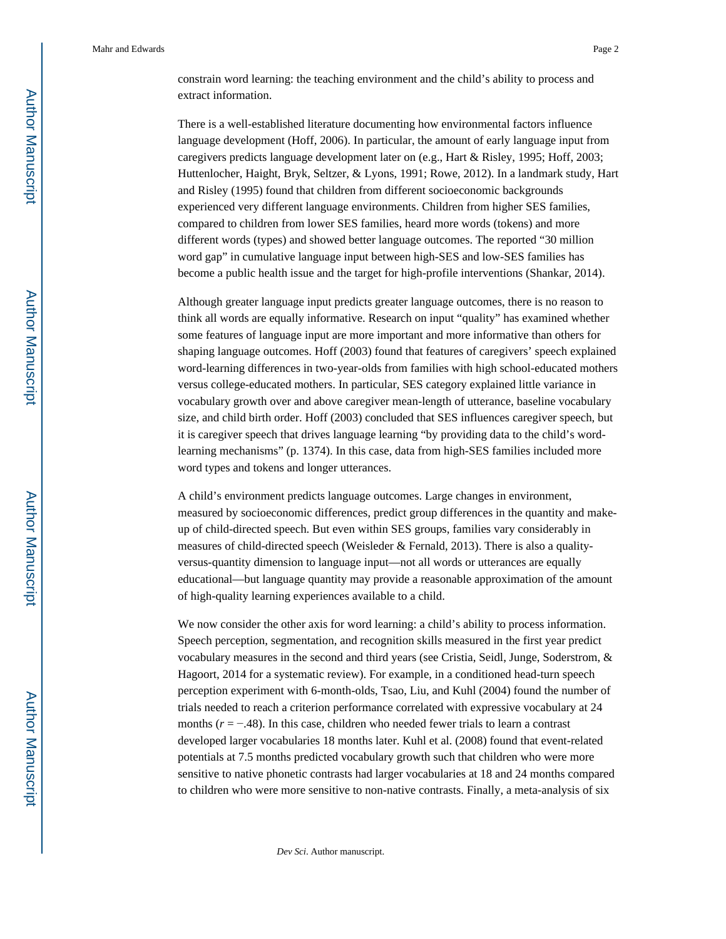constrain word learning: the teaching environment and the child's ability to process and extract information.

There is a well-established literature documenting how environmental factors influence language development (Hoff, 2006). In particular, the amount of early language input from caregivers predicts language development later on (e.g., Hart & Risley, 1995; Hoff, 2003; Huttenlocher, Haight, Bryk, Seltzer, & Lyons, 1991; Rowe, 2012). In a landmark study, Hart and Risley (1995) found that children from different socioeconomic backgrounds experienced very different language environments. Children from higher SES families, compared to children from lower SES families, heard more words (tokens) and more different words (types) and showed better language outcomes. The reported "30 million word gap" in cumulative language input between high-SES and low-SES families has become a public health issue and the target for high-profile interventions (Shankar, 2014).

Although greater language input predicts greater language outcomes, there is no reason to think all words are equally informative. Research on input "quality" has examined whether some features of language input are more important and more informative than others for shaping language outcomes. Hoff (2003) found that features of caregivers' speech explained word-learning differences in two-year-olds from families with high school-educated mothers versus college-educated mothers. In particular, SES category explained little variance in vocabulary growth over and above caregiver mean-length of utterance, baseline vocabulary size, and child birth order. Hoff (2003) concluded that SES influences caregiver speech, but it is caregiver speech that drives language learning "by providing data to the child's wordlearning mechanisms" (p. 1374). In this case, data from high-SES families included more word types and tokens and longer utterances.

A child's environment predicts language outcomes. Large changes in environment, measured by socioeconomic differences, predict group differences in the quantity and makeup of child-directed speech. But even within SES groups, families vary considerably in measures of child-directed speech (Weisleder & Fernald, 2013). There is also a qualityversus-quantity dimension to language input—not all words or utterances are equally educational—but language quantity may provide a reasonable approximation of the amount of high-quality learning experiences available to a child.

We now consider the other axis for word learning: a child's ability to process information. Speech perception, segmentation, and recognition skills measured in the first year predict vocabulary measures in the second and third years (see Cristia, Seidl, Junge, Soderstrom, & Hagoort, 2014 for a systematic review). For example, in a conditioned head-turn speech perception experiment with 6-month-olds, Tsao, Liu, and Kuhl (2004) found the number of trials needed to reach a criterion performance correlated with expressive vocabulary at 24 months ( $r = −148$ ). In this case, children who needed fewer trials to learn a contrast developed larger vocabularies 18 months later. Kuhl et al. (2008) found that event-related potentials at 7.5 months predicted vocabulary growth such that children who were more sensitive to native phonetic contrasts had larger vocabularies at 18 and 24 months compared to children who were more sensitive to non-native contrasts. Finally, a meta-analysis of six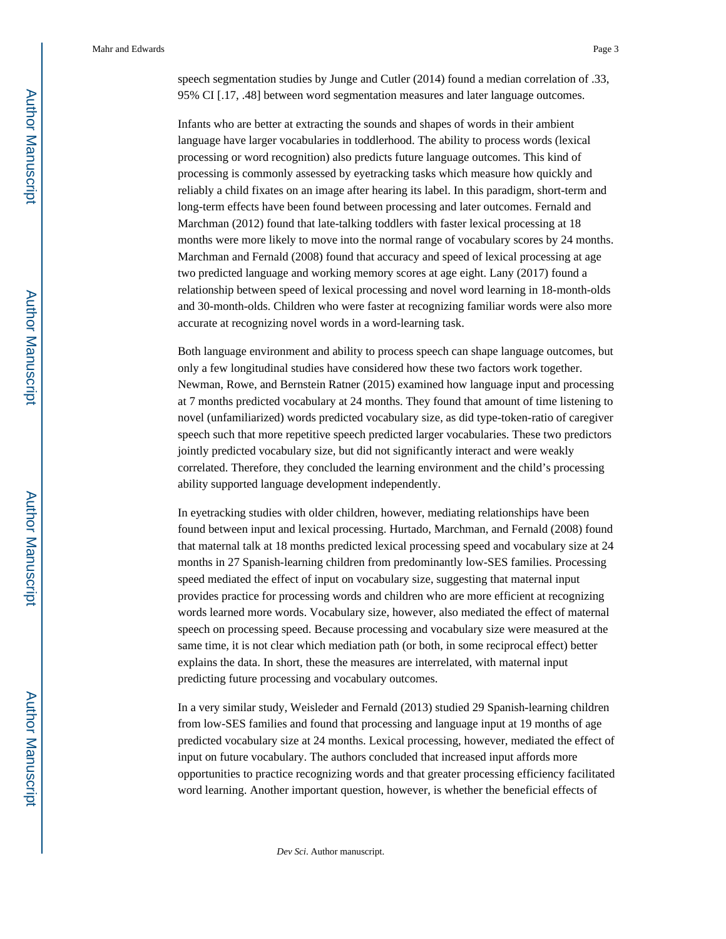speech segmentation studies by Junge and Cutler (2014) found a median correlation of .33, 95% CI [.17, .48] between word segmentation measures and later language outcomes.

Infants who are better at extracting the sounds and shapes of words in their ambient language have larger vocabularies in toddlerhood. The ability to process words (lexical processing or word recognition) also predicts future language outcomes. This kind of processing is commonly assessed by eyetracking tasks which measure how quickly and reliably a child fixates on an image after hearing its label. In this paradigm, short-term and long-term effects have been found between processing and later outcomes. Fernald and Marchman (2012) found that late-talking toddlers with faster lexical processing at 18 months were more likely to move into the normal range of vocabulary scores by 24 months. Marchman and Fernald (2008) found that accuracy and speed of lexical processing at age two predicted language and working memory scores at age eight. Lany (2017) found a relationship between speed of lexical processing and novel word learning in 18-month-olds and 30-month-olds. Children who were faster at recognizing familiar words were also more accurate at recognizing novel words in a word-learning task.

Both language environment and ability to process speech can shape language outcomes, but only a few longitudinal studies have considered how these two factors work together. Newman, Rowe, and Bernstein Ratner (2015) examined how language input and processing at 7 months predicted vocabulary at 24 months. They found that amount of time listening to novel (unfamiliarized) words predicted vocabulary size, as did type-token-ratio of caregiver speech such that more repetitive speech predicted larger vocabularies. These two predictors jointly predicted vocabulary size, but did not significantly interact and were weakly correlated. Therefore, they concluded the learning environment and the child's processing ability supported language development independently.

In eyetracking studies with older children, however, mediating relationships have been found between input and lexical processing. Hurtado, Marchman, and Fernald (2008) found that maternal talk at 18 months predicted lexical processing speed and vocabulary size at 24 months in 27 Spanish-learning children from predominantly low-SES families. Processing speed mediated the effect of input on vocabulary size, suggesting that maternal input provides practice for processing words and children who are more efficient at recognizing words learned more words. Vocabulary size, however, also mediated the effect of maternal speech on processing speed. Because processing and vocabulary size were measured at the same time, it is not clear which mediation path (or both, in some reciprocal effect) better explains the data. In short, these the measures are interrelated, with maternal input predicting future processing and vocabulary outcomes.

In a very similar study, Weisleder and Fernald (2013) studied 29 Spanish-learning children from low-SES families and found that processing and language input at 19 months of age predicted vocabulary size at 24 months. Lexical processing, however, mediated the effect of input on future vocabulary. The authors concluded that increased input affords more opportunities to practice recognizing words and that greater processing efficiency facilitated word learning. Another important question, however, is whether the beneficial effects of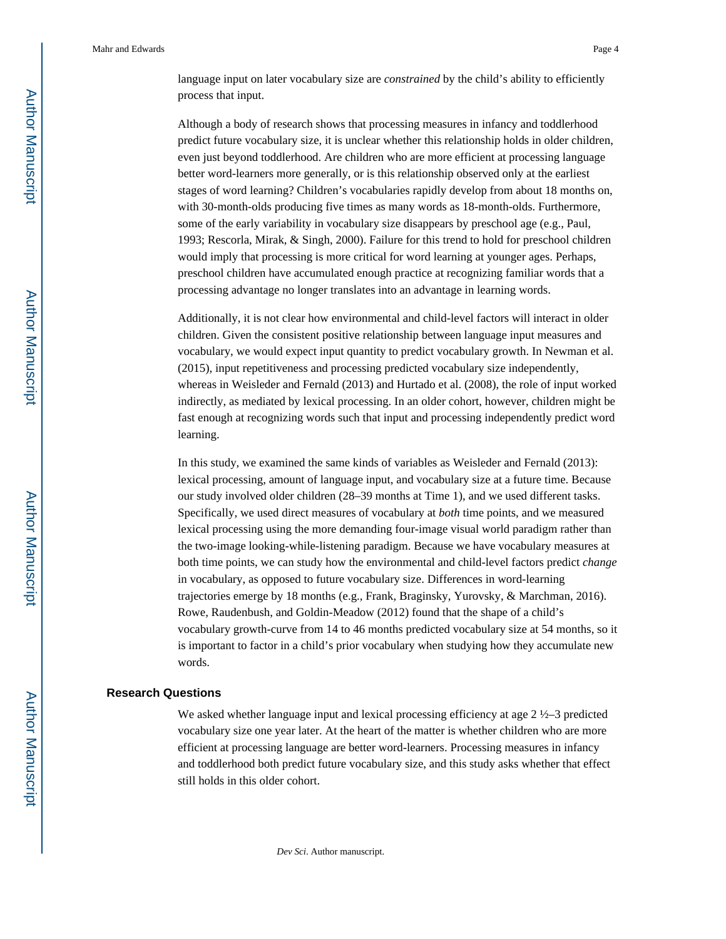language input on later vocabulary size are *constrained* by the child's ability to efficiently process that input.

Although a body of research shows that processing measures in infancy and toddlerhood predict future vocabulary size, it is unclear whether this relationship holds in older children, even just beyond toddlerhood. Are children who are more efficient at processing language better word-learners more generally, or is this relationship observed only at the earliest stages of word learning? Children's vocabularies rapidly develop from about 18 months on, with 30-month-olds producing five times as many words as 18-month-olds. Furthermore, some of the early variability in vocabulary size disappears by preschool age (e.g., Paul, 1993; Rescorla, Mirak, & Singh, 2000). Failure for this trend to hold for preschool children would imply that processing is more critical for word learning at younger ages. Perhaps, preschool children have accumulated enough practice at recognizing familiar words that a processing advantage no longer translates into an advantage in learning words.

Additionally, it is not clear how environmental and child-level factors will interact in older children. Given the consistent positive relationship between language input measures and vocabulary, we would expect input quantity to predict vocabulary growth. In Newman et al. (2015), input repetitiveness and processing predicted vocabulary size independently, whereas in Weisleder and Fernald (2013) and Hurtado et al. (2008), the role of input worked indirectly, as mediated by lexical processing. In an older cohort, however, children might be fast enough at recognizing words such that input and processing independently predict word learning.

In this study, we examined the same kinds of variables as Weisleder and Fernald (2013): lexical processing, amount of language input, and vocabulary size at a future time. Because our study involved older children (28–39 months at Time 1), and we used different tasks. Specifically, we used direct measures of vocabulary at *both* time points, and we measured lexical processing using the more demanding four-image visual world paradigm rather than the two-image looking-while-listening paradigm. Because we have vocabulary measures at both time points, we can study how the environmental and child-level factors predict *change* in vocabulary, as opposed to future vocabulary size. Differences in word-learning trajectories emerge by 18 months (e.g., Frank, Braginsky, Yurovsky, & Marchman, 2016). Rowe, Raudenbush, and Goldin-Meadow (2012) found that the shape of a child's vocabulary growth-curve from 14 to 46 months predicted vocabulary size at 54 months, so it is important to factor in a child's prior vocabulary when studying how they accumulate new words.

#### **Research Questions**

We asked whether language input and lexical processing efficiency at age 2 ½–3 predicted vocabulary size one year later. At the heart of the matter is whether children who are more efficient at processing language are better word-learners. Processing measures in infancy and toddlerhood both predict future vocabulary size, and this study asks whether that effect still holds in this older cohort.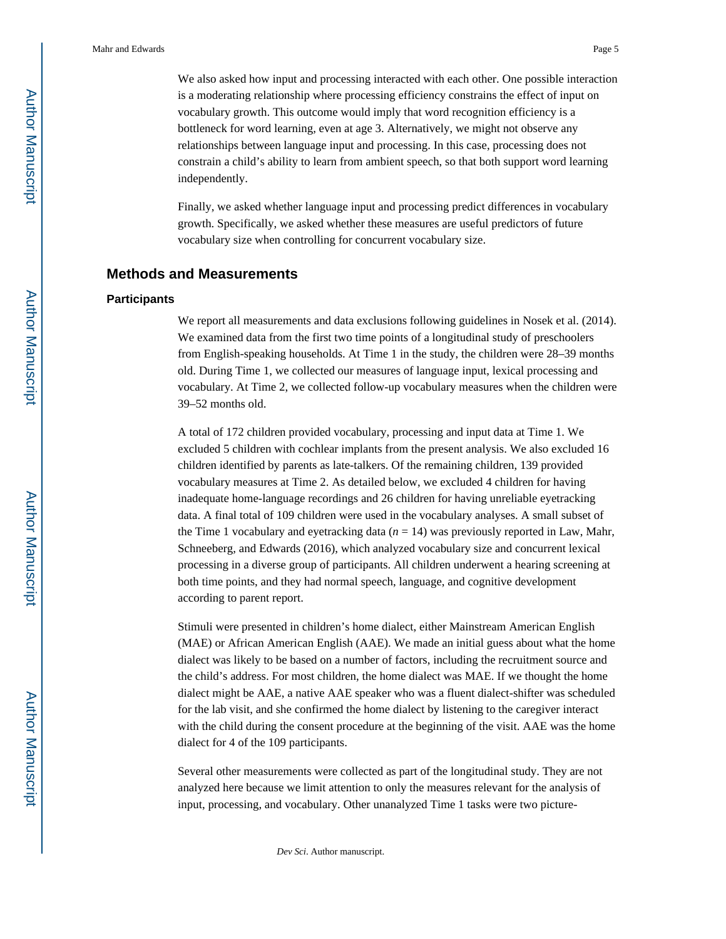We also asked how input and processing interacted with each other. One possible interaction is a moderating relationship where processing efficiency constrains the effect of input on vocabulary growth. This outcome would imply that word recognition efficiency is a bottleneck for word learning, even at age 3. Alternatively, we might not observe any relationships between language input and processing. In this case, processing does not constrain a child's ability to learn from ambient speech, so that both support word learning independently.

Finally, we asked whether language input and processing predict differences in vocabulary growth. Specifically, we asked whether these measures are useful predictors of future vocabulary size when controlling for concurrent vocabulary size.

## **Methods and Measurements**

#### **Participants**

We report all measurements and data exclusions following guidelines in Nosek et al. (2014). We examined data from the first two time points of a longitudinal study of preschoolers from English-speaking households. At Time 1 in the study, the children were 28–39 months old. During Time 1, we collected our measures of language input, lexical processing and vocabulary. At Time 2, we collected follow-up vocabulary measures when the children were 39–52 months old.

A total of 172 children provided vocabulary, processing and input data at Time 1. We excluded 5 children with cochlear implants from the present analysis. We also excluded 16 children identified by parents as late-talkers. Of the remaining children, 139 provided vocabulary measures at Time 2. As detailed below, we excluded 4 children for having inadequate home-language recordings and 26 children for having unreliable eyetracking data. A final total of 109 children were used in the vocabulary analyses. A small subset of the Time 1 vocabulary and eyetracking data  $(n = 14)$  was previously reported in Law, Mahr, Schneeberg, and Edwards (2016), which analyzed vocabulary size and concurrent lexical processing in a diverse group of participants. All children underwent a hearing screening at both time points, and they had normal speech, language, and cognitive development according to parent report.

Stimuli were presented in children's home dialect, either Mainstream American English (MAE) or African American English (AAE). We made an initial guess about what the home dialect was likely to be based on a number of factors, including the recruitment source and the child's address. For most children, the home dialect was MAE. If we thought the home dialect might be AAE, a native AAE speaker who was a fluent dialect-shifter was scheduled for the lab visit, and she confirmed the home dialect by listening to the caregiver interact with the child during the consent procedure at the beginning of the visit. AAE was the home dialect for 4 of the 109 participants.

Several other measurements were collected as part of the longitudinal study. They are not analyzed here because we limit attention to only the measures relevant for the analysis of input, processing, and vocabulary. Other unanalyzed Time 1 tasks were two picture-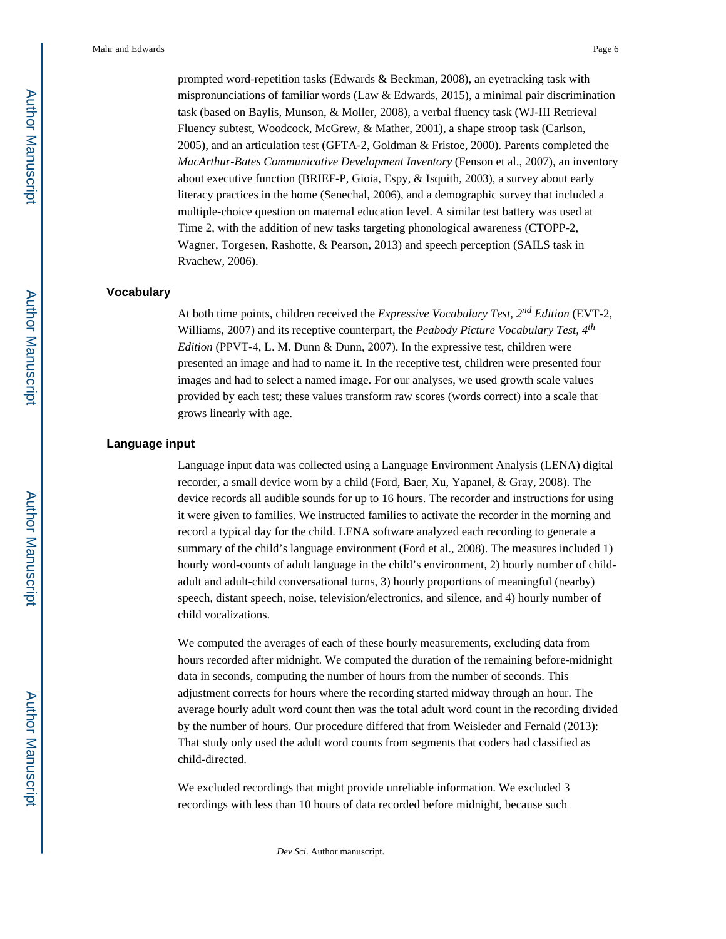prompted word-repetition tasks (Edwards & Beckman, 2008), an eyetracking task with mispronunciations of familiar words (Law & Edwards, 2015), a minimal pair discrimination task (based on Baylis, Munson, & Moller, 2008), a verbal fluency task (WJ-III Retrieval Fluency subtest, Woodcock, McGrew, & Mather, 2001), a shape stroop task (Carlson, 2005), and an articulation test (GFTA-2, Goldman & Fristoe, 2000). Parents completed the *MacArthur-Bates Communicative Development Inventory* (Fenson et al., 2007), an inventory about executive function (BRIEF-P, Gioia, Espy, & Isquith, 2003), a survey about early literacy practices in the home (Senechal, 2006), and a demographic survey that included a multiple-choice question on maternal education level. A similar test battery was used at Time 2, with the addition of new tasks targeting phonological awareness (CTOPP-2, Wagner, Torgesen, Rashotte, & Pearson, 2013) and speech perception (SAILS task in Rvachew, 2006).

#### **Vocabulary**

At both time points, children received the *Expressive Vocabulary Test, 2nd Edition* (EVT-2, Williams, 2007) and its receptive counterpart, the *Peabody Picture Vocabulary Test, 4th Edition* (PPVT-4, L. M. Dunn & Dunn, 2007). In the expressive test, children were presented an image and had to name it. In the receptive test, children were presented four images and had to select a named image. For our analyses, we used growth scale values provided by each test; these values transform raw scores (words correct) into a scale that grows linearly with age.

#### **Language input**

Language input data was collected using a Language Environment Analysis (LENA) digital recorder, a small device worn by a child (Ford, Baer, Xu, Yapanel, & Gray, 2008). The device records all audible sounds for up to 16 hours. The recorder and instructions for using it were given to families. We instructed families to activate the recorder in the morning and record a typical day for the child. LENA software analyzed each recording to generate a summary of the child's language environment (Ford et al., 2008). The measures included 1) hourly word-counts of adult language in the child's environment, 2) hourly number of childadult and adult-child conversational turns, 3) hourly proportions of meaningful (nearby) speech, distant speech, noise, television/electronics, and silence, and 4) hourly number of child vocalizations.

We computed the averages of each of these hourly measurements, excluding data from hours recorded after midnight. We computed the duration of the remaining before-midnight data in seconds, computing the number of hours from the number of seconds. This adjustment corrects for hours where the recording started midway through an hour. The average hourly adult word count then was the total adult word count in the recording divided by the number of hours. Our procedure differed that from Weisleder and Fernald (2013): That study only used the adult word counts from segments that coders had classified as child-directed.

We excluded recordings that might provide unreliable information. We excluded 3 recordings with less than 10 hours of data recorded before midnight, because such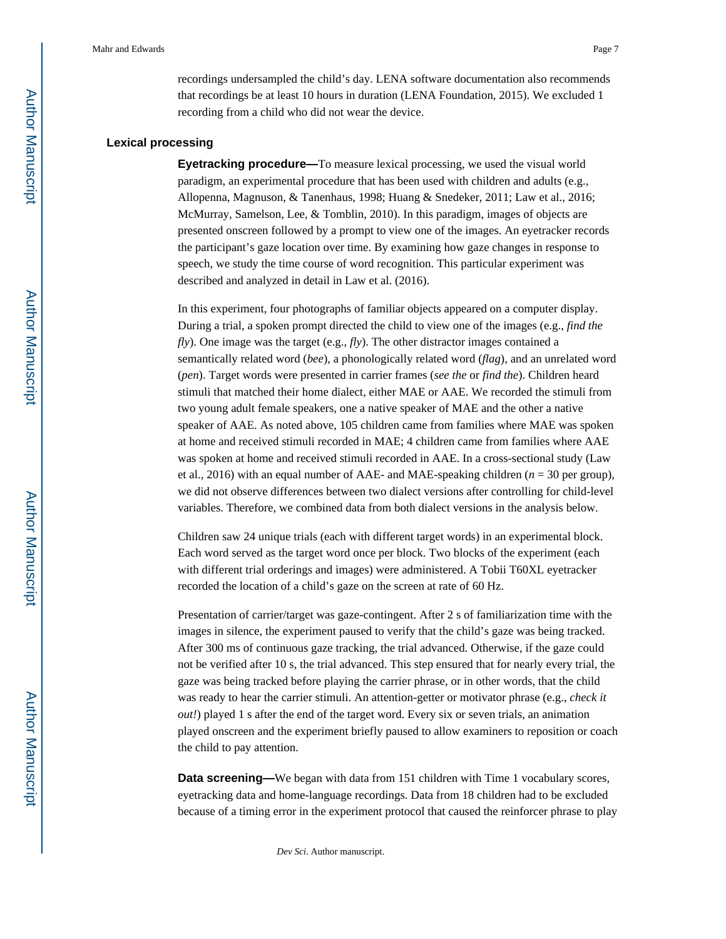recordings undersampled the child's day. LENA software documentation also recommends that recordings be at least 10 hours in duration (LENA Foundation, 2015). We excluded 1 recording from a child who did not wear the device.

#### **Lexical processing**

**Eyetracking procedure—**To measure lexical processing, we used the visual world paradigm, an experimental procedure that has been used with children and adults (e.g., Allopenna, Magnuson, & Tanenhaus, 1998; Huang & Snedeker, 2011; Law et al., 2016; McMurray, Samelson, Lee, & Tomblin, 2010). In this paradigm, images of objects are presented onscreen followed by a prompt to view one of the images. An eyetracker records the participant's gaze location over time. By examining how gaze changes in response to speech, we study the time course of word recognition. This particular experiment was described and analyzed in detail in Law et al. (2016).

In this experiment, four photographs of familiar objects appeared on a computer display. During a trial, a spoken prompt directed the child to view one of the images (e.g., *find the fly*). One image was the target (e.g., *fly*). The other distractor images contained a semantically related word (*bee*), a phonologically related word (*flag*), and an unrelated word (*pen*). Target words were presented in carrier frames (*see the* or *find the*). Children heard stimuli that matched their home dialect, either MAE or AAE. We recorded the stimuli from two young adult female speakers, one a native speaker of MAE and the other a native speaker of AAE. As noted above, 105 children came from families where MAE was spoken at home and received stimuli recorded in MAE; 4 children came from families where AAE was spoken at home and received stimuli recorded in AAE. In a cross-sectional study (Law et al., 2016) with an equal number of AAE- and MAE-speaking children (*n* = 30 per group), we did not observe differences between two dialect versions after controlling for child-level variables. Therefore, we combined data from both dialect versions in the analysis below.

Children saw 24 unique trials (each with different target words) in an experimental block. Each word served as the target word once per block. Two blocks of the experiment (each with different trial orderings and images) were administered. A Tobii T60XL eyetracker recorded the location of a child's gaze on the screen at rate of 60 Hz.

Presentation of carrier/target was gaze-contingent. After 2 s of familiarization time with the images in silence, the experiment paused to verify that the child's gaze was being tracked. After 300 ms of continuous gaze tracking, the trial advanced. Otherwise, if the gaze could not be verified after 10 s, the trial advanced. This step ensured that for nearly every trial, the gaze was being tracked before playing the carrier phrase, or in other words, that the child was ready to hear the carrier stimuli. An attention-getter or motivator phrase (e.g., *check it out!*) played 1 s after the end of the target word. Every six or seven trials, an animation played onscreen and the experiment briefly paused to allow examiners to reposition or coach the child to pay attention.

**Data screening—**We began with data from 151 children with Time 1 vocabulary scores, eyetracking data and home-language recordings. Data from 18 children had to be excluded because of a timing error in the experiment protocol that caused the reinforcer phrase to play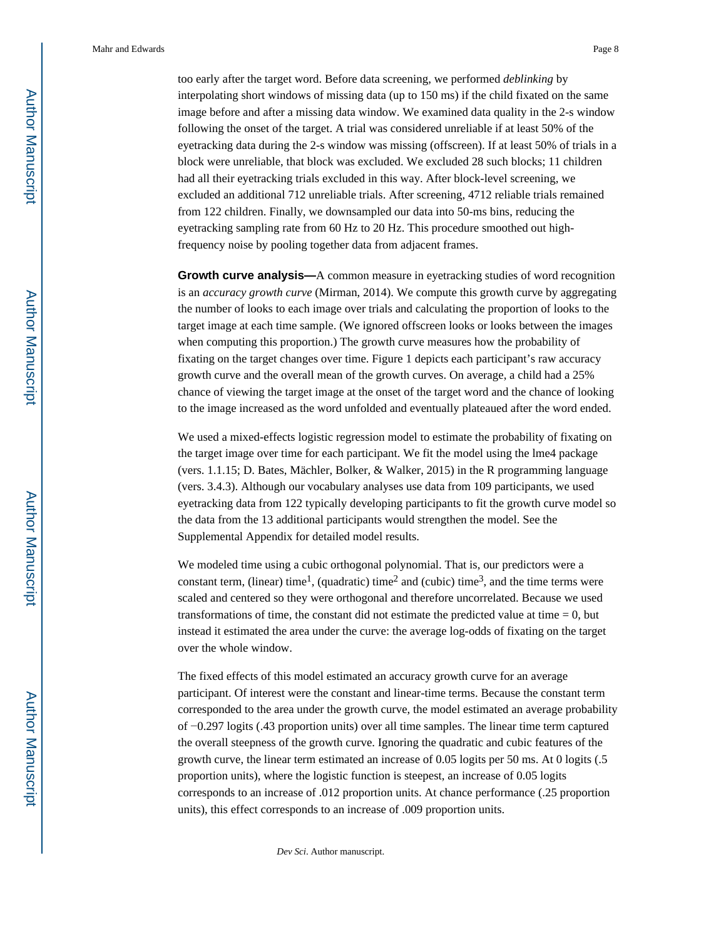too early after the target word. Before data screening, we performed *deblinking* by interpolating short windows of missing data (up to 150 ms) if the child fixated on the same image before and after a missing data window. We examined data quality in the 2-s window following the onset of the target. A trial was considered unreliable if at least 50% of the eyetracking data during the 2-s window was missing (offscreen). If at least 50% of trials in a block were unreliable, that block was excluded. We excluded 28 such blocks; 11 children had all their eyetracking trials excluded in this way. After block-level screening, we excluded an additional 712 unreliable trials. After screening, 4712 reliable trials remained from 122 children. Finally, we downsampled our data into 50-ms bins, reducing the eyetracking sampling rate from 60 Hz to 20 Hz. This procedure smoothed out highfrequency noise by pooling together data from adjacent frames.

**Growth curve analysis—**A common measure in eyetracking studies of word recognition is an *accuracy growth curve* (Mirman, 2014). We compute this growth curve by aggregating the number of looks to each image over trials and calculating the proportion of looks to the target image at each time sample. (We ignored offscreen looks or looks between the images when computing this proportion.) The growth curve measures how the probability of fixating on the target changes over time. Figure 1 depicts each participant's raw accuracy growth curve and the overall mean of the growth curves. On average, a child had a 25% chance of viewing the target image at the onset of the target word and the chance of looking to the image increased as the word unfolded and eventually plateaued after the word ended.

We used a mixed-effects logistic regression model to estimate the probability of fixating on the target image over time for each participant. We fit the model using the lme4 package (vers. 1.1.15; D. Bates, Mächler, Bolker, & Walker, 2015) in the R programming language (vers. 3.4.3). Although our vocabulary analyses use data from 109 participants, we used eyetracking data from 122 typically developing participants to fit the growth curve model so the data from the 13 additional participants would strengthen the model. See the Supplemental Appendix for detailed model results.

We modeled time using a cubic orthogonal polynomial. That is, our predictors were a constant term, (linear) time<sup>1</sup>, (quadratic) time<sup>2</sup> and (cubic) time<sup>3</sup>, and the time terms were scaled and centered so they were orthogonal and therefore uncorrelated. Because we used transformations of time, the constant did not estimate the predicted value at time  $= 0$ , but instead it estimated the area under the curve: the average log-odds of fixating on the target over the whole window.

The fixed effects of this model estimated an accuracy growth curve for an average participant. Of interest were the constant and linear-time terms. Because the constant term corresponded to the area under the growth curve, the model estimated an average probability of −0.297 logits (.43 proportion units) over all time samples. The linear time term captured the overall steepness of the growth curve. Ignoring the quadratic and cubic features of the growth curve, the linear term estimated an increase of 0.05 logits per 50 ms. At 0 logits (.5 proportion units), where the logistic function is steepest, an increase of 0.05 logits corresponds to an increase of .012 proportion units. At chance performance (.25 proportion units), this effect corresponds to an increase of .009 proportion units.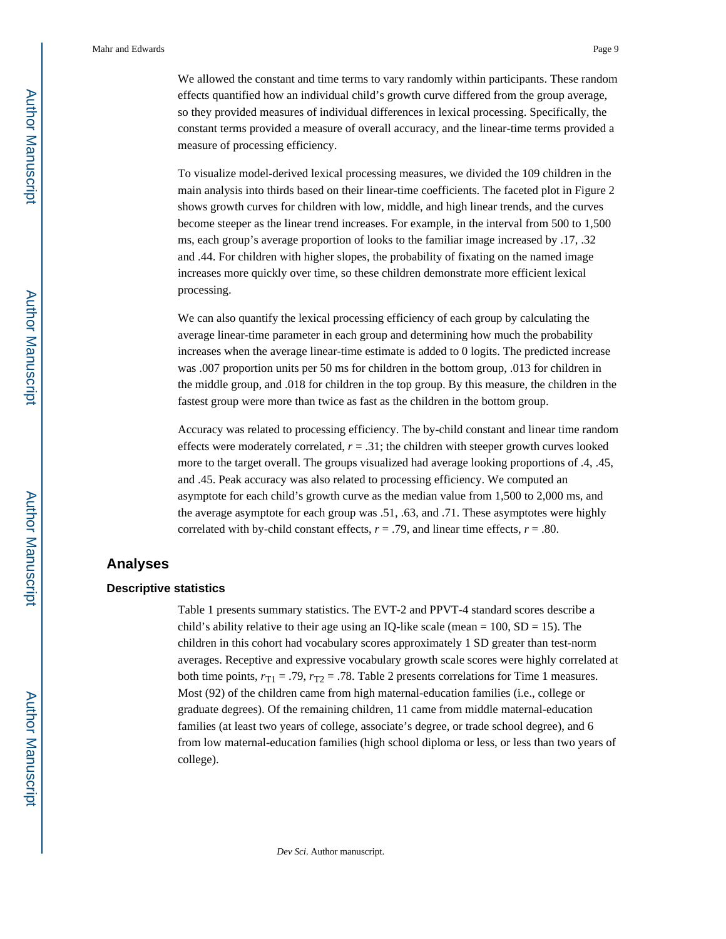We allowed the constant and time terms to vary randomly within participants. These random effects quantified how an individual child's growth curve differed from the group average, so they provided measures of individual differences in lexical processing. Specifically, the constant terms provided a measure of overall accuracy, and the linear-time terms provided a measure of processing efficiency.

To visualize model-derived lexical processing measures, we divided the 109 children in the main analysis into thirds based on their linear-time coefficients. The faceted plot in Figure 2 shows growth curves for children with low, middle, and high linear trends, and the curves become steeper as the linear trend increases. For example, in the interval from 500 to 1,500 ms, each group's average proportion of looks to the familiar image increased by .17, .32 and .44. For children with higher slopes, the probability of fixating on the named image increases more quickly over time, so these children demonstrate more efficient lexical processing.

We can also quantify the lexical processing efficiency of each group by calculating the average linear-time parameter in each group and determining how much the probability increases when the average linear-time estimate is added to 0 logits. The predicted increase was .007 proportion units per 50 ms for children in the bottom group, .013 for children in the middle group, and .018 for children in the top group. By this measure, the children in the fastest group were more than twice as fast as the children in the bottom group.

Accuracy was related to processing efficiency. The by-child constant and linear time random effects were moderately correlated,  $r = .31$ ; the children with steeper growth curves looked more to the target overall. The groups visualized had average looking proportions of .4, .45, and .45. Peak accuracy was also related to processing efficiency. We computed an asymptote for each child's growth curve as the median value from 1,500 to 2,000 ms, and the average asymptote for each group was .51, .63, and .71. These asymptotes were highly correlated with by-child constant effects,  $r = .79$ , and linear time effects,  $r = .80$ .

## **Analyses**

#### **Descriptive statistics**

Table 1 presents summary statistics. The EVT-2 and PPVT-4 standard scores describe a child's ability relative to their age using an IQ-like scale (mean  $= 100$ , SD  $= 15$ ). The children in this cohort had vocabulary scores approximately 1 SD greater than test-norm averages. Receptive and expressive vocabulary growth scale scores were highly correlated at both time points,  $r_{T1} = .79$ ,  $r_{T2} = .78$ . Table 2 presents correlations for Time 1 measures. Most (92) of the children came from high maternal-education families (i.e., college or graduate degrees). Of the remaining children, 11 came from middle maternal-education families (at least two years of college, associate's degree, or trade school degree), and 6 from low maternal-education families (high school diploma or less, or less than two years of college).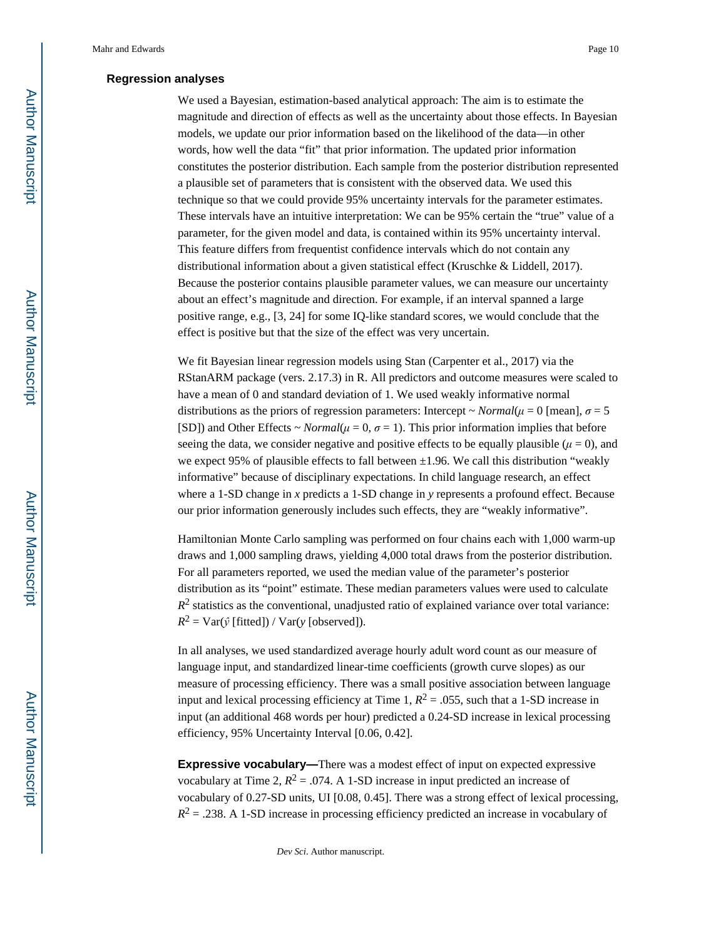#### **Regression analyses**

We used a Bayesian, estimation-based analytical approach: The aim is to estimate the magnitude and direction of effects as well as the uncertainty about those effects. In Bayesian models, we update our prior information based on the likelihood of the data—in other words, how well the data "fit" that prior information. The updated prior information constitutes the posterior distribution. Each sample from the posterior distribution represented a plausible set of parameters that is consistent with the observed data. We used this technique so that we could provide 95% uncertainty intervals for the parameter estimates. These intervals have an intuitive interpretation: We can be 95% certain the "true" value of a parameter, for the given model and data, is contained within its 95% uncertainty interval. This feature differs from frequentist confidence intervals which do not contain any distributional information about a given statistical effect (Kruschke & Liddell, 2017). Because the posterior contains plausible parameter values, we can measure our uncertainty about an effect's magnitude and direction. For example, if an interval spanned a large positive range, e.g., [3, 24] for some IQ-like standard scores, we would conclude that the effect is positive but that the size of the effect was very uncertain.

We fit Bayesian linear regression models using Stan (Carpenter et al., 2017) via the RStanARM package (vers. 2.17.3) in R. All predictors and outcome measures were scaled to have a mean of 0 and standard deviation of 1. We used weakly informative normal distributions as the priors of regression parameters: Intercept  $\sim Normal(\mu = 0$  [mean],  $\sigma = 5$ [SD]) and Other Effects ~ *Normal*( $\mu$  = 0,  $\sigma$  = 1). This prior information implies that before seeing the data, we consider negative and positive effects to be equally plausible ( $\mu$  = 0), and we expect 95% of plausible effects to fall between  $\pm 1.96$ . We call this distribution "weakly informative" because of disciplinary expectations. In child language research, an effect where a 1-SD change in *x* predicts a 1-SD change in *y* represents a profound effect. Because our prior information generously includes such effects, they are "weakly informative".

Hamiltonian Monte Carlo sampling was performed on four chains each with 1,000 warm-up draws and 1,000 sampling draws, yielding 4,000 total draws from the posterior distribution. For all parameters reported, we used the median value of the parameter's posterior distribution as its "point" estimate. These median parameters values were used to calculate  $R<sup>2</sup>$  statistics as the conventional, unadjusted ratio of explained variance over total variance:  $R^2$  = Var( $\hat{y}$  [fitted]) / Var( $y$  [observed]).

In all analyses, we used standardized average hourly adult word count as our measure of language input, and standardized linear-time coefficients (growth curve slopes) as our measure of processing efficiency. There was a small positive association between language input and lexical processing efficiency at Time 1,  $R^2 = .055$ , such that a 1-SD increase in input (an additional 468 words per hour) predicted a 0.24-SD increase in lexical processing efficiency, 95% Uncertainty Interval [0.06, 0.42].

**Expressive vocabulary—**There was a modest effect of input on expected expressive vocabulary at Time 2,  $R^2 = 0.074$ . A 1-SD increase in input predicted an increase of vocabulary of 0.27-SD units, UI [0.08, 0.45]. There was a strong effect of lexical processing,  $R<sup>2</sup> = .238$ . A 1-SD increase in processing efficiency predicted an increase in vocabulary of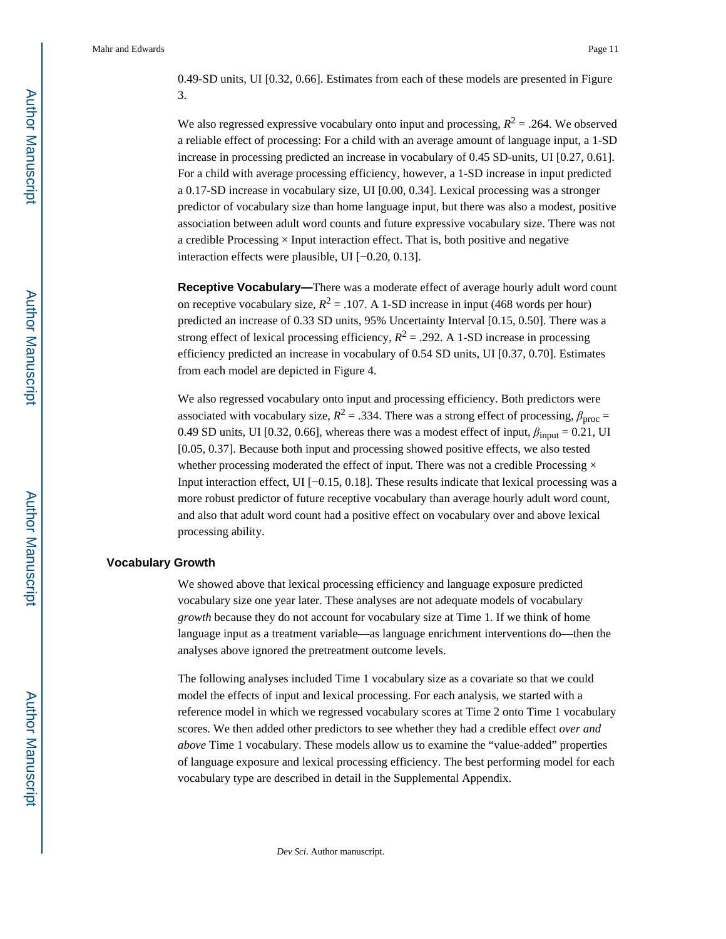0.49-SD units, UI [0.32, 0.66]. Estimates from each of these models are presented in Figure 3.

We also regressed expressive vocabulary onto input and processing,  $R^2 = .264$ . We observed a reliable effect of processing: For a child with an average amount of language input, a 1-SD increase in processing predicted an increase in vocabulary of 0.45 SD-units, UI [0.27, 0.61]. For a child with average processing efficiency, however, a 1-SD increase in input predicted a 0.17-SD increase in vocabulary size, UI [0.00, 0.34]. Lexical processing was a stronger predictor of vocabulary size than home language input, but there was also a modest, positive association between adult word counts and future expressive vocabulary size. There was not a credible Processing  $\times$  Input interaction effect. That is, both positive and negative interaction effects were plausible, UI [−0.20, 0.13].

**Receptive Vocabulary—**There was a moderate effect of average hourly adult word count on receptive vocabulary size,  $R^2 = .107$ . A 1-SD increase in input (468 words per hour) predicted an increase of 0.33 SD units, 95% Uncertainty Interval [0.15, 0.50]. There was a strong effect of lexical processing efficiency,  $R^2 = .292$ . A 1-SD increase in processing efficiency predicted an increase in vocabulary of 0.54 SD units, UI [0.37, 0.70]. Estimates from each model are depicted in Figure 4.

We also regressed vocabulary onto input and processing efficiency. Both predictors were associated with vocabulary size,  $R^2 = .334$ . There was a strong effect of processing,  $\beta_{\text{proc}} =$ 0.49 SD units, UI [0.32, 0.66], whereas there was a modest effect of input,  $\beta_{input} = 0.21$ , UI [0.05, 0.37]. Because both input and processing showed positive effects, we also tested whether processing moderated the effect of input. There was not a credible Processing  $\times$ Input interaction effect, UI [−0.15, 0.18]. These results indicate that lexical processing was a more robust predictor of future receptive vocabulary than average hourly adult word count, and also that adult word count had a positive effect on vocabulary over and above lexical processing ability.

#### **Vocabulary Growth**

We showed above that lexical processing efficiency and language exposure predicted vocabulary size one year later. These analyses are not adequate models of vocabulary *growth* because they do not account for vocabulary size at Time 1. If we think of home language input as a treatment variable—as language enrichment interventions do—then the analyses above ignored the pretreatment outcome levels.

The following analyses included Time 1 vocabulary size as a covariate so that we could model the effects of input and lexical processing. For each analysis, we started with a reference model in which we regressed vocabulary scores at Time 2 onto Time 1 vocabulary scores. We then added other predictors to see whether they had a credible effect *over and above* Time 1 vocabulary. These models allow us to examine the "value-added" properties of language exposure and lexical processing efficiency. The best performing model for each vocabulary type are described in detail in the Supplemental Appendix.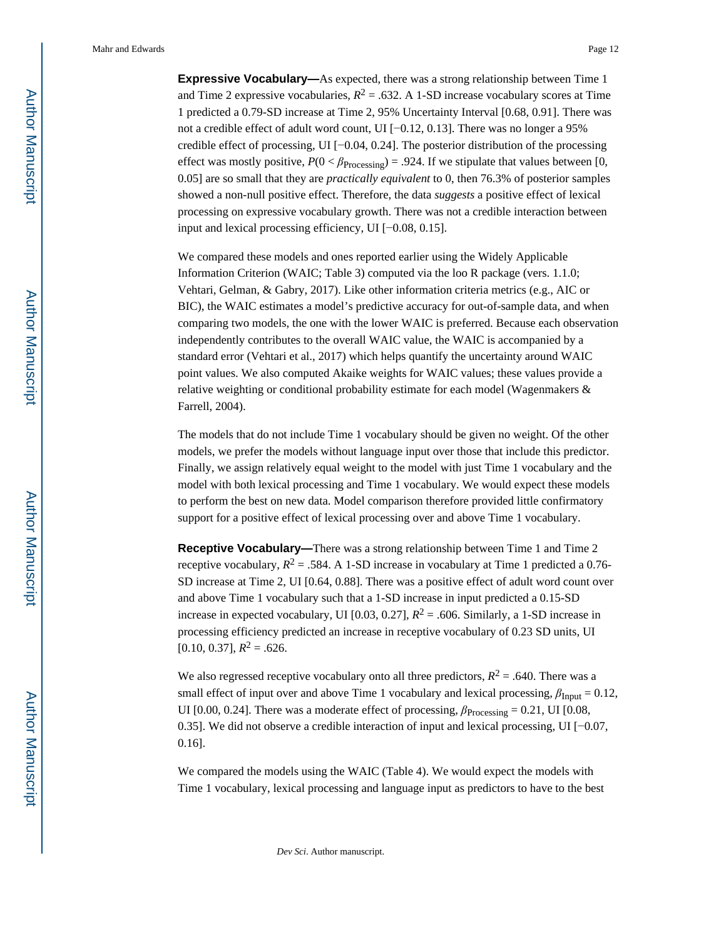**Expressive Vocabulary—**As expected, there was a strong relationship between Time 1 and Time 2 expressive vocabularies,  $R^2 = .632$ . A 1-SD increase vocabulary scores at Time 1 predicted a 0.79-SD increase at Time 2, 95% Uncertainty Interval [0.68, 0.91]. There was not a credible effect of adult word count, UI [−0.12, 0.13]. There was no longer a 95% credible effect of processing, UI [−0.04, 0.24]. The posterior distribution of the processing effect was mostly positive,  $P(0 < \beta_{\text{Processing}}) = .924$ . If we stipulate that values between [0, 0.05] are so small that they are *practically equivalent* to 0, then 76.3% of posterior samples showed a non-null positive effect. Therefore, the data *suggests* a positive effect of lexical processing on expressive vocabulary growth. There was not a credible interaction between input and lexical processing efficiency, UI [−0.08, 0.15].

We compared these models and ones reported earlier using the Widely Applicable Information Criterion (WAIC; Table 3) computed via the loo R package (vers. 1.1.0; Vehtari, Gelman, & Gabry, 2017). Like other information criteria metrics (e.g., AIC or BIC), the WAIC estimates a model's predictive accuracy for out-of-sample data, and when comparing two models, the one with the lower WAIC is preferred. Because each observation independently contributes to the overall WAIC value, the WAIC is accompanied by a standard error (Vehtari et al., 2017) which helps quantify the uncertainty around WAIC point values. We also computed Akaike weights for WAIC values; these values provide a relative weighting or conditional probability estimate for each model (Wagenmakers & Farrell, 2004).

The models that do not include Time 1 vocabulary should be given no weight. Of the other models, we prefer the models without language input over those that include this predictor. Finally, we assign relatively equal weight to the model with just Time 1 vocabulary and the model with both lexical processing and Time 1 vocabulary. We would expect these models to perform the best on new data. Model comparison therefore provided little confirmatory support for a positive effect of lexical processing over and above Time 1 vocabulary.

**Receptive Vocabulary—**There was a strong relationship between Time 1 and Time 2 receptive vocabulary,  $R^2 = .584$ . A 1-SD increase in vocabulary at Time 1 predicted a 0.76-SD increase at Time 2, UI [0.64, 0.88]. There was a positive effect of adult word count over and above Time 1 vocabulary such that a 1-SD increase in input predicted a 0.15-SD increase in expected vocabulary, UI  $[0.03, 0.27]$ ,  $R^2 = .606$ . Similarly, a 1-SD increase in processing efficiency predicted an increase in receptive vocabulary of 0.23 SD units, UI  $[0.10, 0.37], R^2 = .626.$ 

We also regressed receptive vocabulary onto all three predictors,  $R^2 = .640$ . There was a small effect of input over and above Time 1 vocabulary and lexical processing,  $\beta_{Input} = 0.12$ , UI [0.00, 0.24]. There was a moderate effect of processing,  $\beta_{\text{Processing}} = 0.21$ , UI [0.08, 0.35]. We did not observe a credible interaction of input and lexical processing, UI [−0.07, 0.16].

We compared the models using the WAIC (Table 4). We would expect the models with Time 1 vocabulary, lexical processing and language input as predictors to have to the best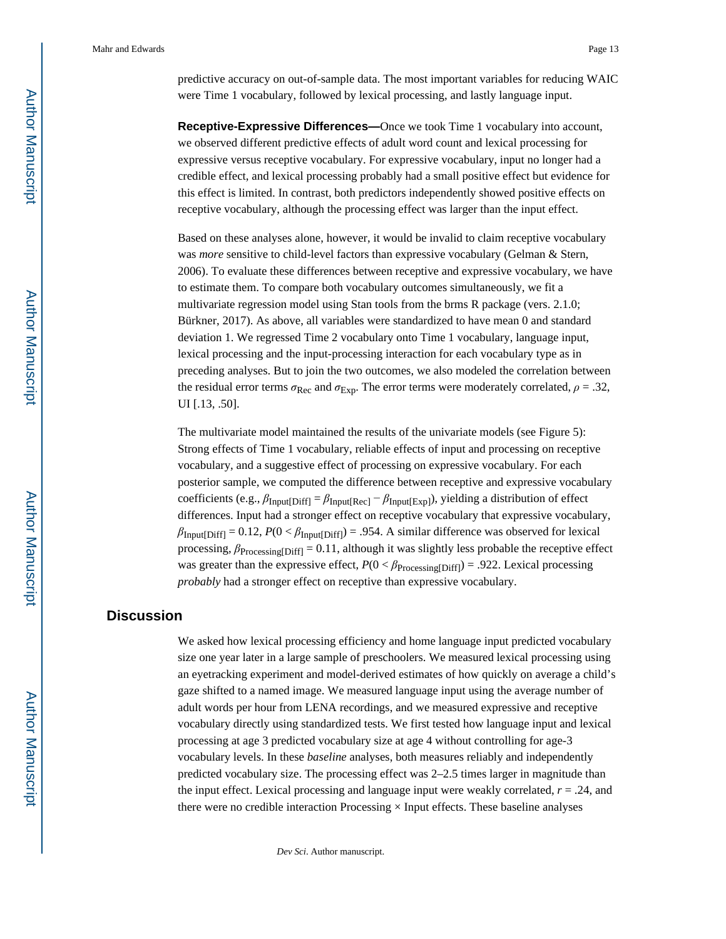Mahr and Edwards **Page 13** Page 13

predictive accuracy on out-of-sample data. The most important variables for reducing WAIC were Time 1 vocabulary, followed by lexical processing, and lastly language input.

**Receptive-Expressive Differences—**Once we took Time 1 vocabulary into account, we observed different predictive effects of adult word count and lexical processing for expressive versus receptive vocabulary. For expressive vocabulary, input no longer had a credible effect, and lexical processing probably had a small positive effect but evidence for this effect is limited. In contrast, both predictors independently showed positive effects on receptive vocabulary, although the processing effect was larger than the input effect.

Based on these analyses alone, however, it would be invalid to claim receptive vocabulary was *more* sensitive to child-level factors than expressive vocabulary (Gelman & Stern, 2006). To evaluate these differences between receptive and expressive vocabulary, we have to estimate them. To compare both vocabulary outcomes simultaneously, we fit a multivariate regression model using Stan tools from the brms R package (vers. 2.1.0; Bürkner, 2017). As above, all variables were standardized to have mean 0 and standard deviation 1. We regressed Time 2 vocabulary onto Time 1 vocabulary, language input, lexical processing and the input-processing interaction for each vocabulary type as in preceding analyses. But to join the two outcomes, we also modeled the correlation between the residual error terms  $\sigma_{\text{Rec}}$  and  $\sigma_{\text{Exp}}$ . The error terms were moderately correlated,  $\rho = .32$ , UI [.13, .50].

The multivariate model maintained the results of the univariate models (see Figure 5): Strong effects of Time 1 vocabulary, reliable effects of input and processing on receptive vocabulary, and a suggestive effect of processing on expressive vocabulary. For each posterior sample, we computed the difference between receptive and expressive vocabulary coefficients (e.g., *β*Input[Diff] = *β*Input[Rec] − *β*Input[Exp]), yielding a distribution of effect differences. Input had a stronger effect on receptive vocabulary that expressive vocabulary,  $\beta_{\text{Input}[Diff]} = 0.12, P(0 < \beta_{\text{Input}[Diff]}) = .954.$  A similar difference was observed for lexical processing,  $\beta_{\text{Processing}[Diff]} = 0.11$ , although it was slightly less probable the receptive effect was greater than the expressive effect,  $P(0 < \beta_{\text{Processing[Diff]}}) = .922$ . Lexical processing *probably* had a stronger effect on receptive than expressive vocabulary.

## **Discussion**

We asked how lexical processing efficiency and home language input predicted vocabulary size one year later in a large sample of preschoolers. We measured lexical processing using an eyetracking experiment and model-derived estimates of how quickly on average a child's gaze shifted to a named image. We measured language input using the average number of adult words per hour from LENA recordings, and we measured expressive and receptive vocabulary directly using standardized tests. We first tested how language input and lexical processing at age 3 predicted vocabulary size at age 4 without controlling for age-3 vocabulary levels. In these *baseline* analyses, both measures reliably and independently predicted vocabulary size. The processing effect was 2–2.5 times larger in magnitude than the input effect. Lexical processing and language input were weakly correlated, *r* = .24, and there were no credible interaction Processing  $\times$  Input effects. These baseline analyses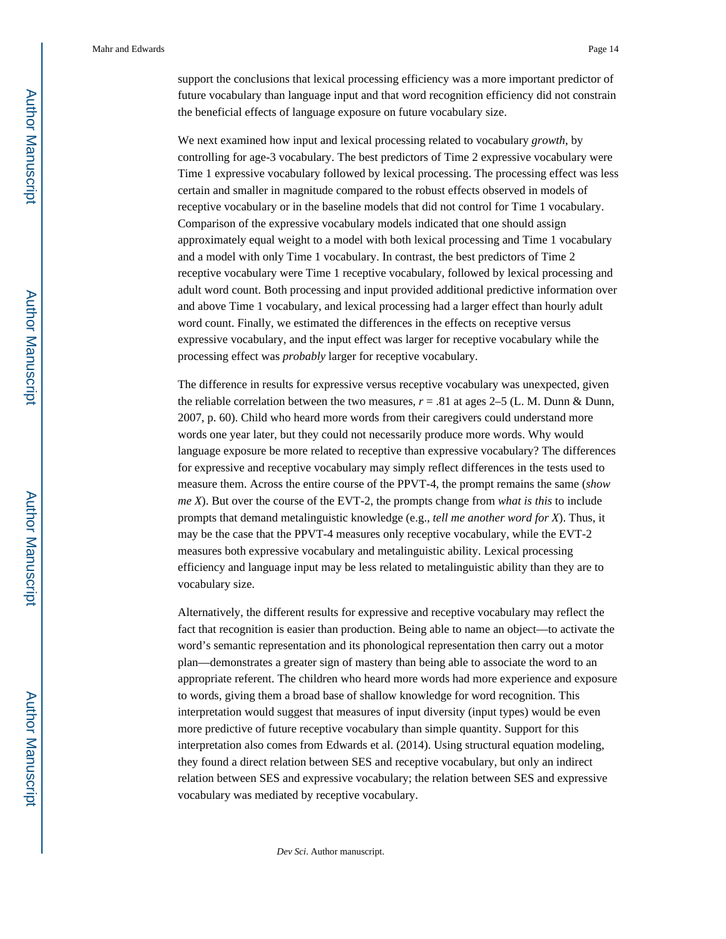support the conclusions that lexical processing efficiency was a more important predictor of future vocabulary than language input and that word recognition efficiency did not constrain the beneficial effects of language exposure on future vocabulary size.

We next examined how input and lexical processing related to vocabulary *growth*, by controlling for age-3 vocabulary. The best predictors of Time 2 expressive vocabulary were Time 1 expressive vocabulary followed by lexical processing. The processing effect was less certain and smaller in magnitude compared to the robust effects observed in models of receptive vocabulary or in the baseline models that did not control for Time 1 vocabulary. Comparison of the expressive vocabulary models indicated that one should assign approximately equal weight to a model with both lexical processing and Time 1 vocabulary and a model with only Time 1 vocabulary. In contrast, the best predictors of Time 2 receptive vocabulary were Time 1 receptive vocabulary, followed by lexical processing and adult word count. Both processing and input provided additional predictive information over and above Time 1 vocabulary, and lexical processing had a larger effect than hourly adult word count. Finally, we estimated the differences in the effects on receptive versus expressive vocabulary, and the input effect was larger for receptive vocabulary while the processing effect was *probably* larger for receptive vocabulary.

The difference in results for expressive versus receptive vocabulary was unexpected, given the reliable correlation between the two measures,  $r = .81$  at ages 2–5 (L. M. Dunn & Dunn, 2007, p. 60). Child who heard more words from their caregivers could understand more words one year later, but they could not necessarily produce more words. Why would language exposure be more related to receptive than expressive vocabulary? The differences for expressive and receptive vocabulary may simply reflect differences in the tests used to measure them. Across the entire course of the PPVT-4, the prompt remains the same (*show me X*). But over the course of the EVT-2, the prompts change from *what is this* to include prompts that demand metalinguistic knowledge (e.g., *tell me another word for X*). Thus, it may be the case that the PPVT-4 measures only receptive vocabulary, while the EVT-2 measures both expressive vocabulary and metalinguistic ability. Lexical processing efficiency and language input may be less related to metalinguistic ability than they are to vocabulary size.

Alternatively, the different results for expressive and receptive vocabulary may reflect the fact that recognition is easier than production. Being able to name an object—to activate the word's semantic representation and its phonological representation then carry out a motor plan—demonstrates a greater sign of mastery than being able to associate the word to an appropriate referent. The children who heard more words had more experience and exposure to words, giving them a broad base of shallow knowledge for word recognition. This interpretation would suggest that measures of input diversity (input types) would be even more predictive of future receptive vocabulary than simple quantity. Support for this interpretation also comes from Edwards et al. (2014). Using structural equation modeling, they found a direct relation between SES and receptive vocabulary, but only an indirect relation between SES and expressive vocabulary; the relation between SES and expressive vocabulary was mediated by receptive vocabulary.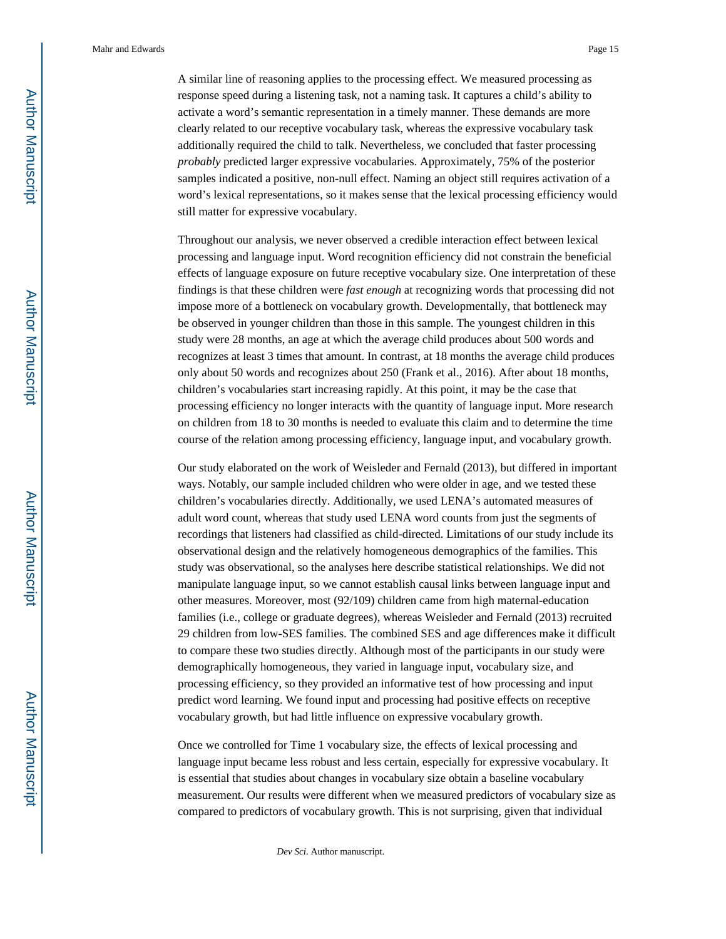Mahr and Edwards **Page 15** Page 15

A similar line of reasoning applies to the processing effect. We measured processing as response speed during a listening task, not a naming task. It captures a child's ability to activate a word's semantic representation in a timely manner. These demands are more clearly related to our receptive vocabulary task, whereas the expressive vocabulary task additionally required the child to talk. Nevertheless, we concluded that faster processing *probably* predicted larger expressive vocabularies. Approximately, 75% of the posterior samples indicated a positive, non-null effect. Naming an object still requires activation of a word's lexical representations, so it makes sense that the lexical processing efficiency would still matter for expressive vocabulary.

Throughout our analysis, we never observed a credible interaction effect between lexical processing and language input. Word recognition efficiency did not constrain the beneficial effects of language exposure on future receptive vocabulary size. One interpretation of these findings is that these children were *fast enough* at recognizing words that processing did not impose more of a bottleneck on vocabulary growth. Developmentally, that bottleneck may be observed in younger children than those in this sample. The youngest children in this study were 28 months, an age at which the average child produces about 500 words and recognizes at least 3 times that amount. In contrast, at 18 months the average child produces only about 50 words and recognizes about 250 (Frank et al., 2016). After about 18 months, children's vocabularies start increasing rapidly. At this point, it may be the case that processing efficiency no longer interacts with the quantity of language input. More research on children from 18 to 30 months is needed to evaluate this claim and to determine the time course of the relation among processing efficiency, language input, and vocabulary growth.

Our study elaborated on the work of Weisleder and Fernald (2013), but differed in important ways. Notably, our sample included children who were older in age, and we tested these children's vocabularies directly. Additionally, we used LENA's automated measures of adult word count, whereas that study used LENA word counts from just the segments of recordings that listeners had classified as child-directed. Limitations of our study include its observational design and the relatively homogeneous demographics of the families. This study was observational, so the analyses here describe statistical relationships. We did not manipulate language input, so we cannot establish causal links between language input and other measures. Moreover, most (92/109) children came from high maternal-education families (i.e., college or graduate degrees), whereas Weisleder and Fernald (2013) recruited 29 children from low-SES families. The combined SES and age differences make it difficult to compare these two studies directly. Although most of the participants in our study were demographically homogeneous, they varied in language input, vocabulary size, and processing efficiency, so they provided an informative test of how processing and input predict word learning. We found input and processing had positive effects on receptive vocabulary growth, but had little influence on expressive vocabulary growth.

Once we controlled for Time 1 vocabulary size, the effects of lexical processing and language input became less robust and less certain, especially for expressive vocabulary. It is essential that studies about changes in vocabulary size obtain a baseline vocabulary measurement. Our results were different when we measured predictors of vocabulary size as compared to predictors of vocabulary growth. This is not surprising, given that individual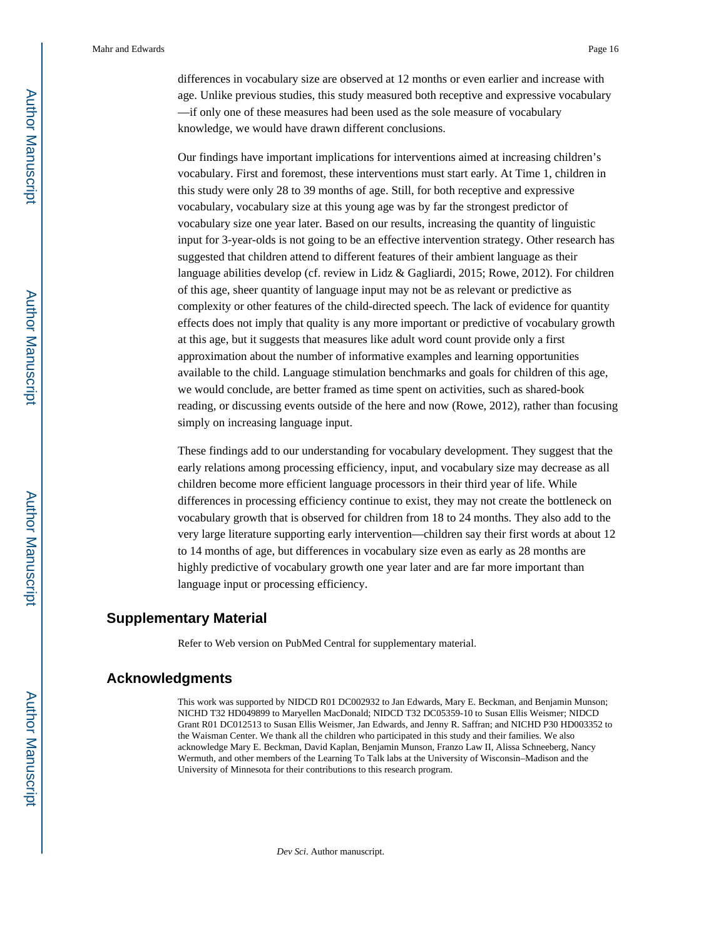differences in vocabulary size are observed at 12 months or even earlier and increase with age. Unlike previous studies, this study measured both receptive and expressive vocabulary —if only one of these measures had been used as the sole measure of vocabulary knowledge, we would have drawn different conclusions.

Our findings have important implications for interventions aimed at increasing children's vocabulary. First and foremost, these interventions must start early. At Time 1, children in this study were only 28 to 39 months of age. Still, for both receptive and expressive vocabulary, vocabulary size at this young age was by far the strongest predictor of vocabulary size one year later. Based on our results, increasing the quantity of linguistic input for 3-year-olds is not going to be an effective intervention strategy. Other research has suggested that children attend to different features of their ambient language as their language abilities develop (cf. review in Lidz & Gagliardi, 2015; Rowe, 2012). For children of this age, sheer quantity of language input may not be as relevant or predictive as complexity or other features of the child-directed speech. The lack of evidence for quantity effects does not imply that quality is any more important or predictive of vocabulary growth at this age, but it suggests that measures like adult word count provide only a first approximation about the number of informative examples and learning opportunities available to the child. Language stimulation benchmarks and goals for children of this age, we would conclude, are better framed as time spent on activities, such as shared-book reading, or discussing events outside of the here and now (Rowe, 2012), rather than focusing simply on increasing language input.

These findings add to our understanding for vocabulary development. They suggest that the early relations among processing efficiency, input, and vocabulary size may decrease as all children become more efficient language processors in their third year of life. While differences in processing efficiency continue to exist, they may not create the bottleneck on vocabulary growth that is observed for children from 18 to 24 months. They also add to the very large literature supporting early intervention—children say their first words at about 12 to 14 months of age, but differences in vocabulary size even as early as 28 months are highly predictive of vocabulary growth one year later and are far more important than language input or processing efficiency.

## **Supplementary Material**

Refer to Web version on PubMed Central for supplementary material.

#### **Acknowledgments**

This work was supported by NIDCD R01 DC002932 to Jan Edwards, Mary E. Beckman, and Benjamin Munson; NICHD T32 HD049899 to Maryellen MacDonald; NIDCD T32 DC05359-10 to Susan Ellis Weismer; NIDCD Grant R01 DC012513 to Susan Ellis Weismer, Jan Edwards, and Jenny R. Saffran; and NICHD P30 HD003352 to the Waisman Center. We thank all the children who participated in this study and their families. We also acknowledge Mary E. Beckman, David Kaplan, Benjamin Munson, Franzo Law II, Alissa Schneeberg, Nancy Wermuth, and other members of the Learning To Talk labs at the University of Wisconsin–Madison and the University of Minnesota for their contributions to this research program.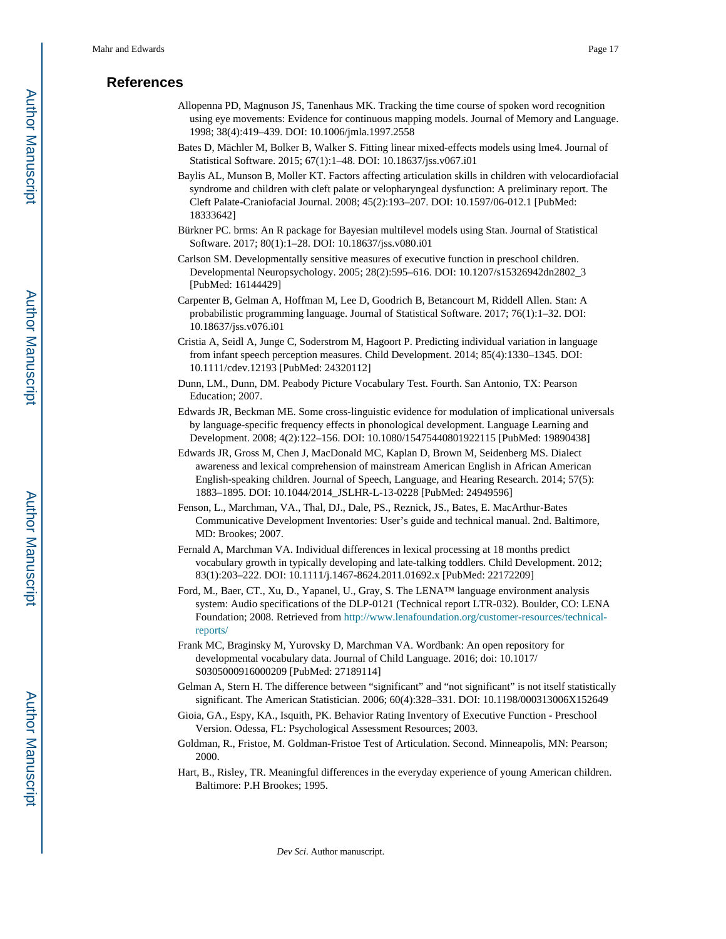# **References**

- Allopenna PD, Magnuson JS, Tanenhaus MK. Tracking the time course of spoken word recognition using eye movements: Evidence for continuous mapping models. Journal of Memory and Language. 1998; 38(4):419–439. DOI: 10.1006/jmla.1997.2558
- Bates D, Mächler M, Bolker B, Walker S. Fitting linear mixed-effects models using lme4. Journal of Statistical Software. 2015; 67(1):1–48. DOI: 10.18637/jss.v067.i01
- Baylis AL, Munson B, Moller KT. Factors affecting articulation skills in children with velocardiofacial syndrome and children with cleft palate or velopharyngeal dysfunction: A preliminary report. The Cleft Palate-Craniofacial Journal. 2008; 45(2):193–207. DOI: 10.1597/06-012.1 [PubMed: 18333642]
- Bürkner PC. brms: An R package for Bayesian multilevel models using Stan. Journal of Statistical Software. 2017; 80(1):1–28. DOI: 10.18637/jss.v080.i01
- Carlson SM. Developmentally sensitive measures of executive function in preschool children. Developmental Neuropsychology. 2005; 28(2):595–616. DOI: 10.1207/s15326942dn2802\_3 [PubMed: 16144429]
- Carpenter B, Gelman A, Hoffman M, Lee D, Goodrich B, Betancourt M, Riddell Allen. Stan: A probabilistic programming language. Journal of Statistical Software. 2017; 76(1):1–32. DOI: 10.18637/jss.v076.i01
- Cristia A, Seidl A, Junge C, Soderstrom M, Hagoort P. Predicting individual variation in language from infant speech perception measures. Child Development. 2014; 85(4):1330–1345. DOI: 10.1111/cdev.12193 [PubMed: 24320112]
- Dunn, LM., Dunn, DM. Peabody Picture Vocabulary Test. Fourth. San Antonio, TX: Pearson Education; 2007.
- Edwards JR, Beckman ME. Some cross-linguistic evidence for modulation of implicational universals by language-specific frequency effects in phonological development. Language Learning and Development. 2008; 4(2):122–156. DOI: 10.1080/15475440801922115 [PubMed: 19890438]
- Edwards JR, Gross M, Chen J, MacDonald MC, Kaplan D, Brown M, Seidenberg MS. Dialect awareness and lexical comprehension of mainstream American English in African American English-speaking children. Journal of Speech, Language, and Hearing Research. 2014; 57(5): 1883–1895. DOI: 10.1044/2014\_JSLHR-L-13-0228 [PubMed: 24949596]
- Fenson, L., Marchman, VA., Thal, DJ., Dale, PS., Reznick, JS., Bates, E. MacArthur-Bates Communicative Development Inventories: User's guide and technical manual. 2nd. Baltimore, MD: Brookes; 2007.
- Fernald A, Marchman VA. Individual differences in lexical processing at 18 months predict vocabulary growth in typically developing and late-talking toddlers. Child Development. 2012; 83(1):203–222. DOI: 10.1111/j.1467-8624.2011.01692.x [PubMed: 22172209]
- Ford, M., Baer, CT., Xu, D., Yapanel, U., Gray, S. The LENA™ language environment analysis system: Audio specifications of the DLP-0121 (Technical report LTR-032). Boulder, CO: LENA Foundation; 2008. Retrieved from [http://www.lenafoundation.org/customer-resources/technical](http://www.lenafoundation.org/customer-resources/technical-reports/)[reports/](http://www.lenafoundation.org/customer-resources/technical-reports/)
- Frank MC, Braginsky M, Yurovsky D, Marchman VA. Wordbank: An open repository for developmental vocabulary data. Journal of Child Language. 2016; doi: 10.1017/ S0305000916000209 [PubMed: 27189114]
- Gelman A, Stern H. The difference between "significant" and "not significant" is not itself statistically significant. The American Statistician. 2006; 60(4):328–331. DOI: 10.1198/000313006X152649
- Gioia, GA., Espy, KA., Isquith, PK. Behavior Rating Inventory of Executive Function Preschool Version. Odessa, FL: Psychological Assessment Resources; 2003.
- Goldman, R., Fristoe, M. Goldman-Fristoe Test of Articulation. Second. Minneapolis, MN: Pearson; 2000.
- Hart, B., Risley, TR. Meaningful differences in the everyday experience of young American children. Baltimore: P.H Brookes; 1995.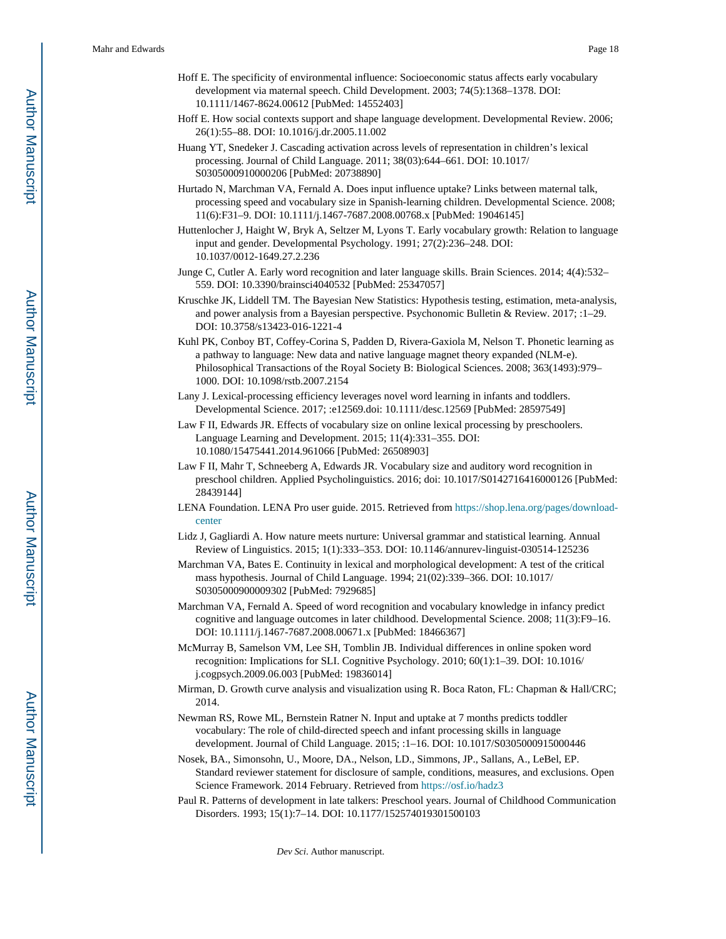- Hoff E. The specificity of environmental influence: Socioeconomic status affects early vocabulary development via maternal speech. Child Development. 2003; 74(5):1368–1378. DOI: 10.1111/1467-8624.00612 [PubMed: 14552403]
- Hoff E. How social contexts support and shape language development. Developmental Review. 2006; 26(1):55–88. DOI: 10.1016/j.dr.2005.11.002
- Huang YT, Snedeker J. Cascading activation across levels of representation in children's lexical processing. Journal of Child Language. 2011; 38(03):644–661. DOI: 10.1017/ S0305000910000206 [PubMed: 20738890]
- Hurtado N, Marchman VA, Fernald A. Does input influence uptake? Links between maternal talk, processing speed and vocabulary size in Spanish-learning children. Developmental Science. 2008; 11(6):F31–9. DOI: 10.1111/j.1467-7687.2008.00768.x [PubMed: 19046145]
- Huttenlocher J, Haight W, Bryk A, Seltzer M, Lyons T. Early vocabulary growth: Relation to language input and gender. Developmental Psychology. 1991; 27(2):236–248. DOI: 10.1037/0012-1649.27.2.236
- Junge C, Cutler A. Early word recognition and later language skills. Brain Sciences. 2014; 4(4):532– 559. DOI: 10.3390/brainsci4040532 [PubMed: 25347057]
- Kruschke JK, Liddell TM. The Bayesian New Statistics: Hypothesis testing, estimation, meta-analysis, and power analysis from a Bayesian perspective. Psychonomic Bulletin & Review. 2017; :1–29. DOI: 10.3758/s13423-016-1221-4
- Kuhl PK, Conboy BT, Coffey-Corina S, Padden D, Rivera-Gaxiola M, Nelson T. Phonetic learning as a pathway to language: New data and native language magnet theory expanded (NLM-e). Philosophical Transactions of the Royal Society B: Biological Sciences. 2008; 363(1493):979– 1000. DOI: 10.1098/rstb.2007.2154
- Lany J. Lexical-processing efficiency leverages novel word learning in infants and toddlers. Developmental Science. 2017; :e12569.doi: 10.1111/desc.12569 [PubMed: 28597549]
- Law F II, Edwards JR. Effects of vocabulary size on online lexical processing by preschoolers. Language Learning and Development. 2015; 11(4):331–355. DOI: 10.1080/15475441.2014.961066 [PubMed: 26508903]
- Law F II, Mahr T, Schneeberg A, Edwards JR. Vocabulary size and auditory word recognition in preschool children. Applied Psycholinguistics. 2016; doi: 10.1017/S0142716416000126 [PubMed: 28439144]
- LENA Foundation. LENA Pro user guide. 2015. Retrieved from [https://shop.lena.org/pages/download](https://shop.lena.org/pages/download-center)[center](https://shop.lena.org/pages/download-center)
- Lidz J, Gagliardi A. How nature meets nurture: Universal grammar and statistical learning. Annual Review of Linguistics. 2015; 1(1):333–353. DOI: 10.1146/annurev-linguist-030514-125236
- Marchman VA, Bates E. Continuity in lexical and morphological development: A test of the critical mass hypothesis. Journal of Child Language. 1994; 21(02):339–366. DOI: 10.1017/ S0305000900009302 [PubMed: 7929685]
- Marchman VA, Fernald A. Speed of word recognition and vocabulary knowledge in infancy predict cognitive and language outcomes in later childhood. Developmental Science. 2008; 11(3):F9–16. DOI: 10.1111/j.1467-7687.2008.00671.x [PubMed: 18466367]
- McMurray B, Samelson VM, Lee SH, Tomblin JB. Individual differences in online spoken word recognition: Implications for SLI. Cognitive Psychology. 2010; 60(1):1–39. DOI: 10.1016/ j.cogpsych.2009.06.003 [PubMed: 19836014]
- Mirman, D. Growth curve analysis and visualization using R. Boca Raton, FL: Chapman & Hall/CRC; 2014.
- Newman RS, Rowe ML, Bernstein Ratner N. Input and uptake at 7 months predicts toddler vocabulary: The role of child-directed speech and infant processing skills in language development. Journal of Child Language. 2015; :1–16. DOI: 10.1017/S0305000915000446
- Nosek, BA., Simonsohn, U., Moore, DA., Nelson, LD., Simmons, JP., Sallans, A., LeBel, EP. Standard reviewer statement for disclosure of sample, conditions, measures, and exclusions. Open Science Framework. 2014 February. Retrieved from<https://osf.io/hadz3>
- Paul R. Patterns of development in late talkers: Preschool years. Journal of Childhood Communication Disorders. 1993; 15(1):7–14. DOI: 10.1177/152574019301500103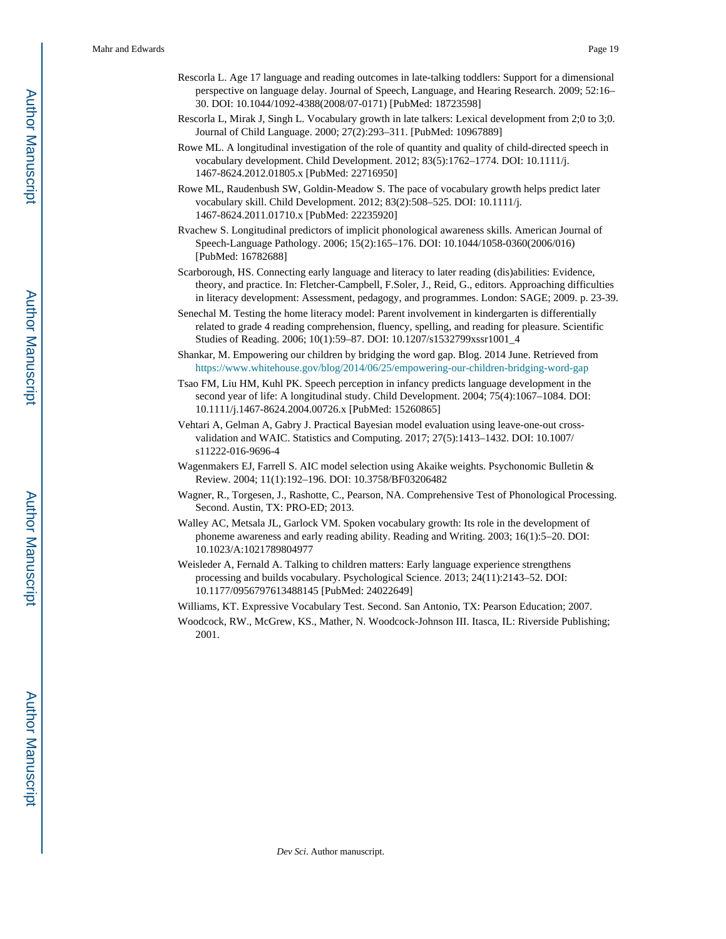- Rescorla L. Age 17 language and reading outcomes in late-talking toddlers: Support for a dimensional perspective on language delay. Journal of Speech, Language, and Hearing Research. 2009; 52:16– 30. DOI: 10.1044/1092-4388(2008/07-0171) [PubMed: 18723598]
- Rescorla L, Mirak J, Singh L. Vocabulary growth in late talkers: Lexical development from 2;0 to 3;0. Journal of Child Language. 2000; 27(2):293–311. [PubMed: 10967889]
- Rowe ML. A longitudinal investigation of the role of quantity and quality of child-directed speech in vocabulary development. Child Development. 2012; 83(5):1762–1774. DOI: 10.1111/j. 1467-8624.2012.01805.x [PubMed: 22716950]
- Rowe ML, Raudenbush SW, Goldin-Meadow S. The pace of vocabulary growth helps predict later vocabulary skill. Child Development. 2012; 83(2):508–525. DOI: 10.1111/j. 1467-8624.2011.01710.x [PubMed: 22235920]
- Rvachew S. Longitudinal predictors of implicit phonological awareness skills. American Journal of Speech-Language Pathology. 2006; 15(2):165–176. DOI: 10.1044/1058-0360(2006/016) [PubMed: 16782688]
- Scarborough, HS. Connecting early language and literacy to later reading (dis)abilities: Evidence, theory, and practice. In: Fletcher-Campbell, F.Soler, J., Reid, G., editors. Approaching difficulties in literacy development: Assessment, pedagogy, and programmes. London: SAGE; 2009. p. 23-39.
- Senechal M. Testing the home literacy model: Parent involvement in kindergarten is differentially related to grade 4 reading comprehension, fluency, spelling, and reading for pleasure. Scientific Studies of Reading. 2006; 10(1):59–87. DOI: 10.1207/s1532799xssr1001\_4
- Shankar, M. Empowering our children by bridging the word gap. Blog. 2014 June. Retrieved from <https://www.whitehouse.gov/blog/2014/06/25/empowering-our-children-bridging-word-gap>
- Tsao FM, Liu HM, Kuhl PK. Speech perception in infancy predicts language development in the second year of life: A longitudinal study. Child Development. 2004; 75(4):1067–1084. DOI: 10.1111/j.1467-8624.2004.00726.x [PubMed: 15260865]
- Vehtari A, Gelman A, Gabry J. Practical Bayesian model evaluation using leave-one-out crossvalidation and WAIC. Statistics and Computing. 2017; 27(5):1413–1432. DOI: 10.1007/ s11222-016-9696-4
- Wagenmakers EJ, Farrell S. AIC model selection using Akaike weights. Psychonomic Bulletin & Review. 2004; 11(1):192–196. DOI: 10.3758/BF03206482
- Wagner, R., Torgesen, J., Rashotte, C., Pearson, NA. Comprehensive Test of Phonological Processing. Second. Austin, TX: PRO-ED; 2013.
- Walley AC, Metsala JL, Garlock VM. Spoken vocabulary growth: Its role in the development of phoneme awareness and early reading ability. Reading and Writing. 2003; 16(1):5–20. DOI: 10.1023/A:1021789804977
- Weisleder A, Fernald A. Talking to children matters: Early language experience strengthens processing and builds vocabulary. Psychological Science. 2013; 24(11):2143–52. DOI: 10.1177/0956797613488145 [PubMed: 24022649]

Williams, KT. Expressive Vocabulary Test. Second. San Antonio, TX: Pearson Education; 2007.

Woodcock, RW., McGrew, KS., Mather, N. Woodcock-Johnson III. Itasca, IL: Riverside Publishing; 2001.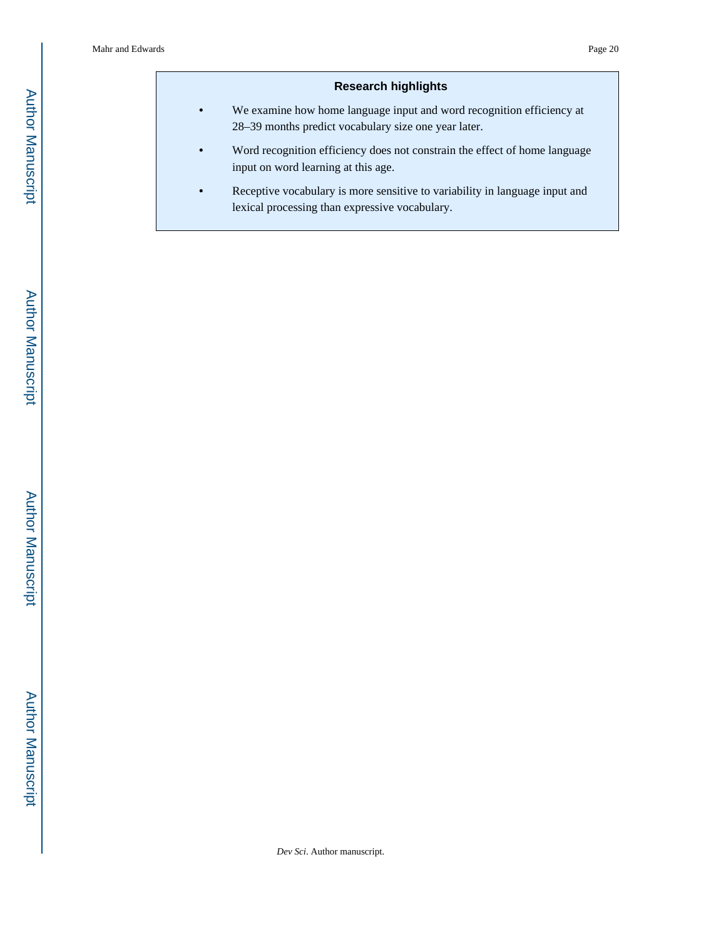## **Research highlights**

- **•** We examine how home language input and word recognition efficiency at 28–39 months predict vocabulary size one year later.
- **•** Word recognition efficiency does not constrain the effect of home language input on word learning at this age.
- **•** Receptive vocabulary is more sensitive to variability in language input and lexical processing than expressive vocabulary.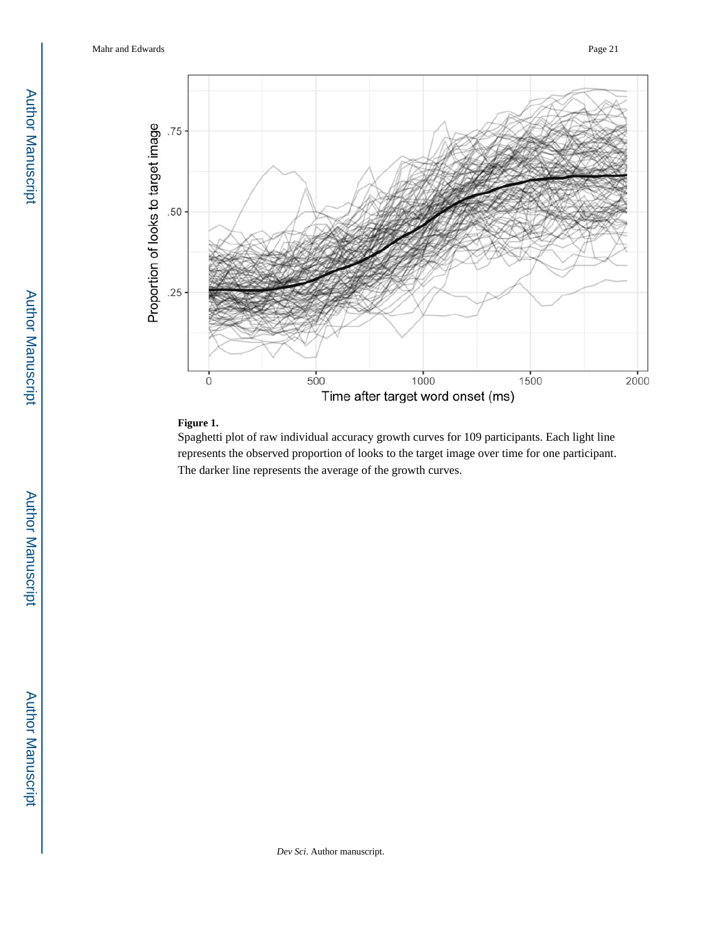Mahr and Edwards Page 21



## **Figure 1.**

Spaghetti plot of raw individual accuracy growth curves for 109 participants. Each light line represents the observed proportion of looks to the target image over time for one participant. The darker line represents the average of the growth curves.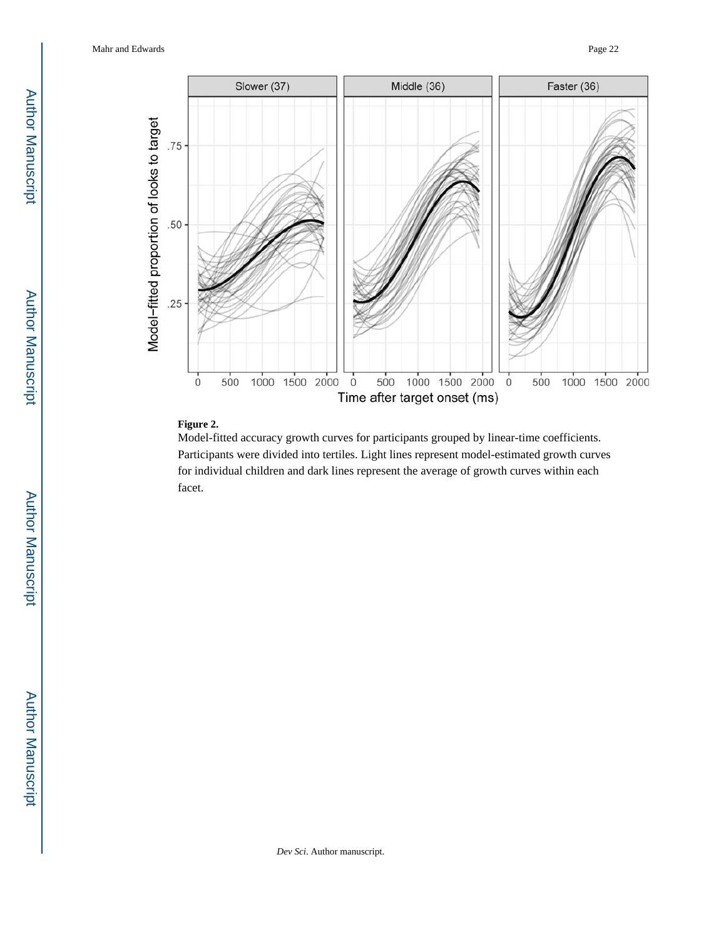Mahr and Edwards Page 22



# **Figure 2.**

Model-fitted accuracy growth curves for participants grouped by linear-time coefficients. Participants were divided into tertiles. Light lines represent model-estimated growth curves for individual children and dark lines represent the average of growth curves within each facet.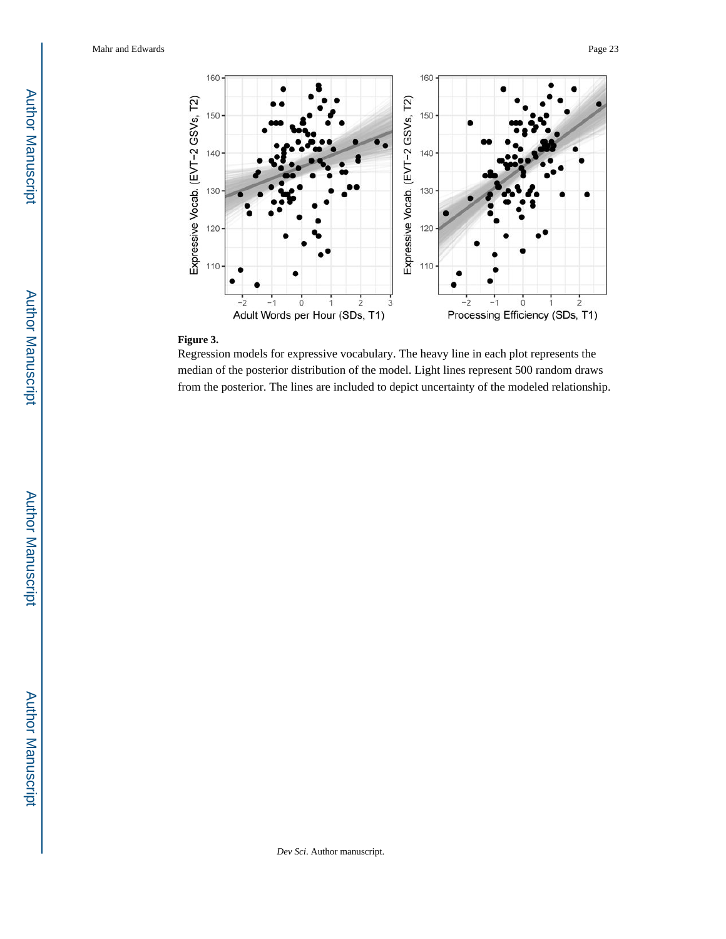

## **Figure 3.**

Regression models for expressive vocabulary. The heavy line in each plot represents the median of the posterior distribution of the model. Light lines represent 500 random draws from the posterior. The lines are included to depict uncertainty of the modeled relationship.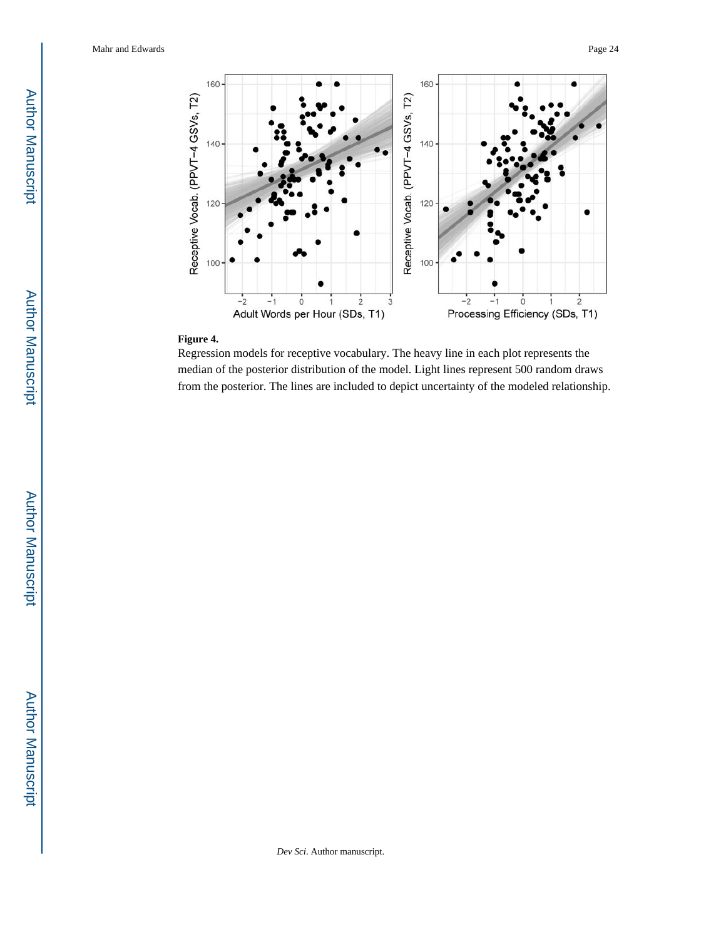

## **Figure 4.**

Regression models for receptive vocabulary. The heavy line in each plot represents the median of the posterior distribution of the model. Light lines represent 500 random draws from the posterior. The lines are included to depict uncertainty of the modeled relationship.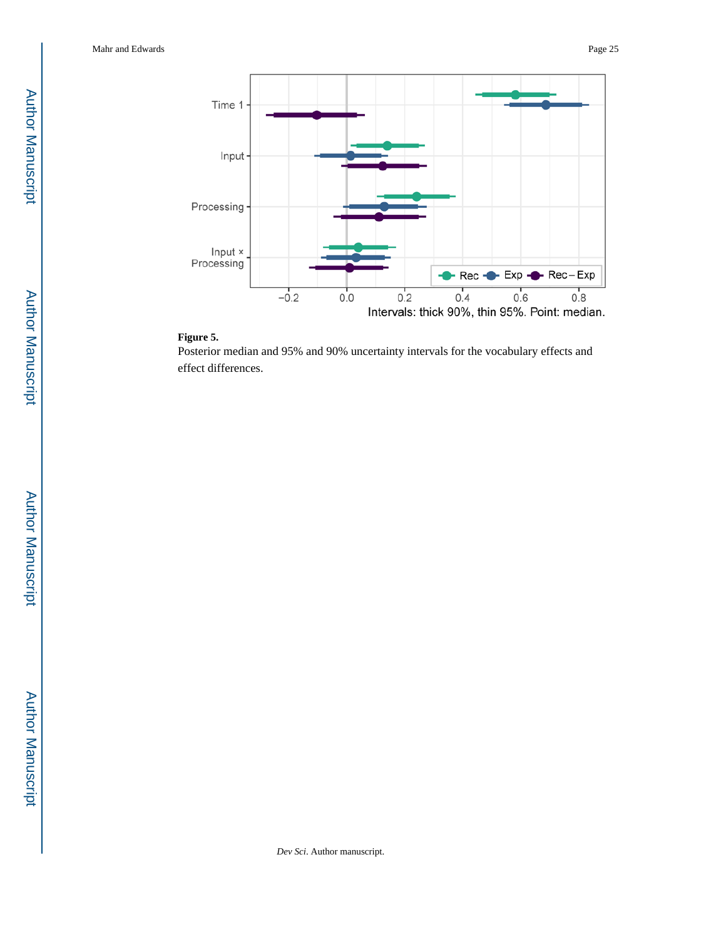

#### **Figure 5.**

Posterior median and 95% and 90% uncertainty intervals for the vocabulary effects and effect differences.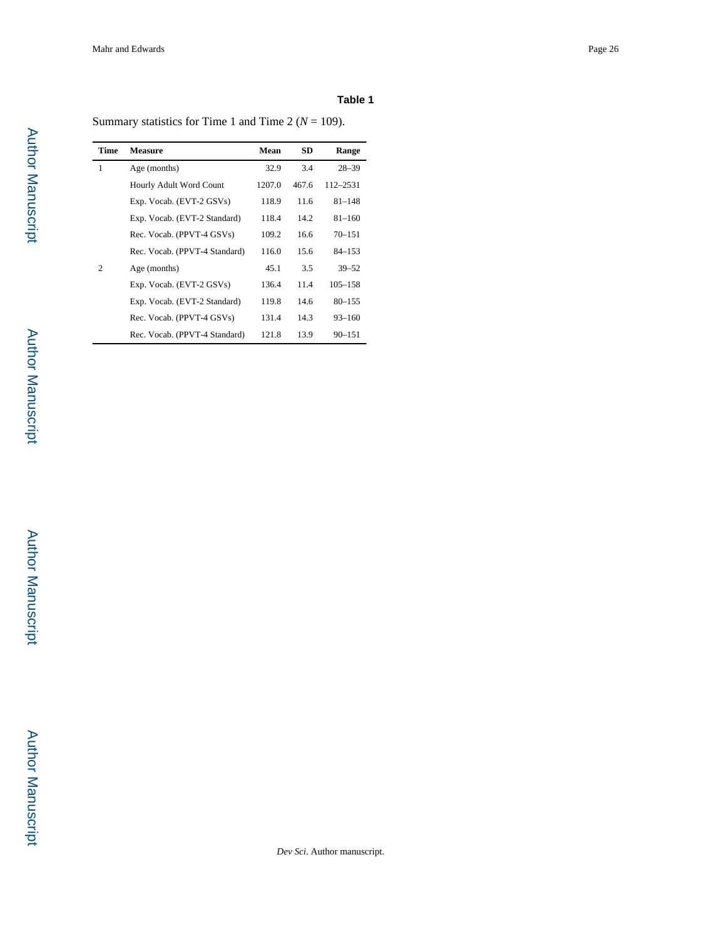Summary statistics for Time 1 and Time 2 ( $N = 109$ ).

| Time | <b>Measure</b>                | Mean   | <b>SD</b> | Range       |
|------|-------------------------------|--------|-----------|-------------|
| 1    | Age (months)                  | 32.9   | 3.4       | $28 - 39$   |
|      | Hourly Adult Word Count       | 1207.0 | 467.6     | 112-2531    |
|      | Exp. Vocab. (EVT-2 GSVs)      | 118.9  | 11.6      | $81 - 148$  |
|      | Exp. Vocab. (EVT-2 Standard)  | 118.4  | 14.2      | $81 - 160$  |
|      | Rec. Vocab. (PPVT-4 GSVs)     | 109.2  | 16.6      | $70 - 151$  |
|      | Rec. Vocab. (PPVT-4 Standard) | 116.0  | 15.6      | $84 - 153$  |
| 2    | Age (months)                  | 45.1   | 3.5       | $39 - 52$   |
|      | Exp. Vocab. (EVT-2 GSVs)      | 136.4  | 11.4      | $105 - 158$ |
|      | Exp. Vocab. (EVT-2 Standard)  | 119.8  | 14.6      | $80 - 155$  |
|      | Rec. Vocab. (PPVT-4 GSVs)     | 131.4  | 14.3      | $93 - 160$  |
|      | Rec. Vocab. (PPVT-4 Standard) | 121.8  | 13.9      | $90 - 151$  |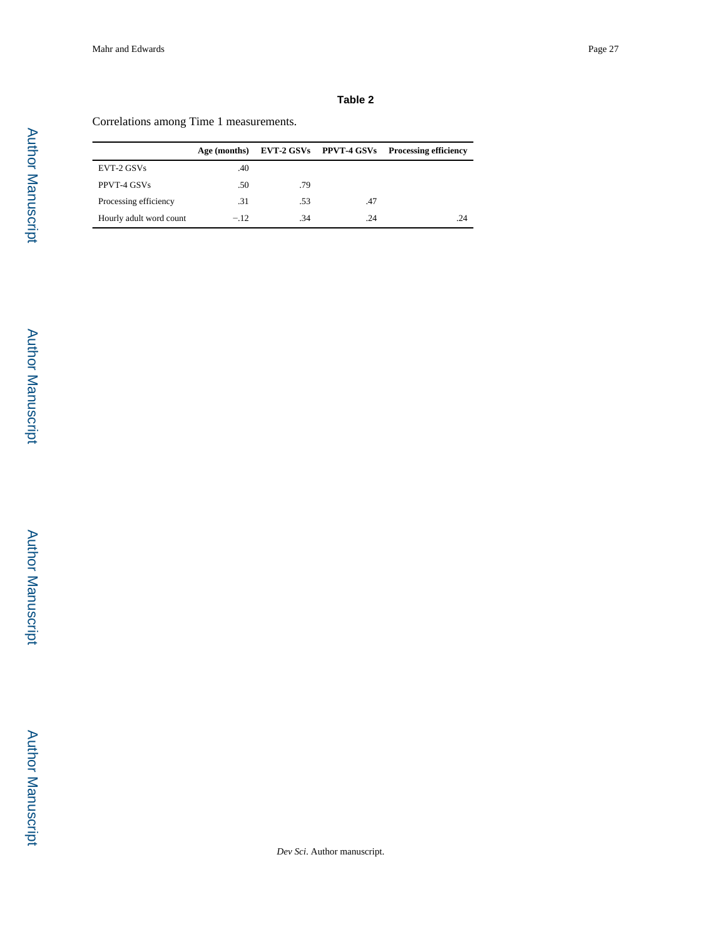# Correlations among Time 1 measurements.

|                         | Age (months) |     | EVT-2 GSVs PPVT-4 GSVs | <b>Processing efficiency</b> |
|-------------------------|--------------|-----|------------------------|------------------------------|
| EVT-2 GSVs              | .40          |     |                        |                              |
| PPVT-4 GSVs             | .50          | .79 |                        |                              |
| Processing efficiency   | .31          | .53 | .47                    |                              |
| Hourly adult word count | $-.12$       | .34 | .24                    | .24                          |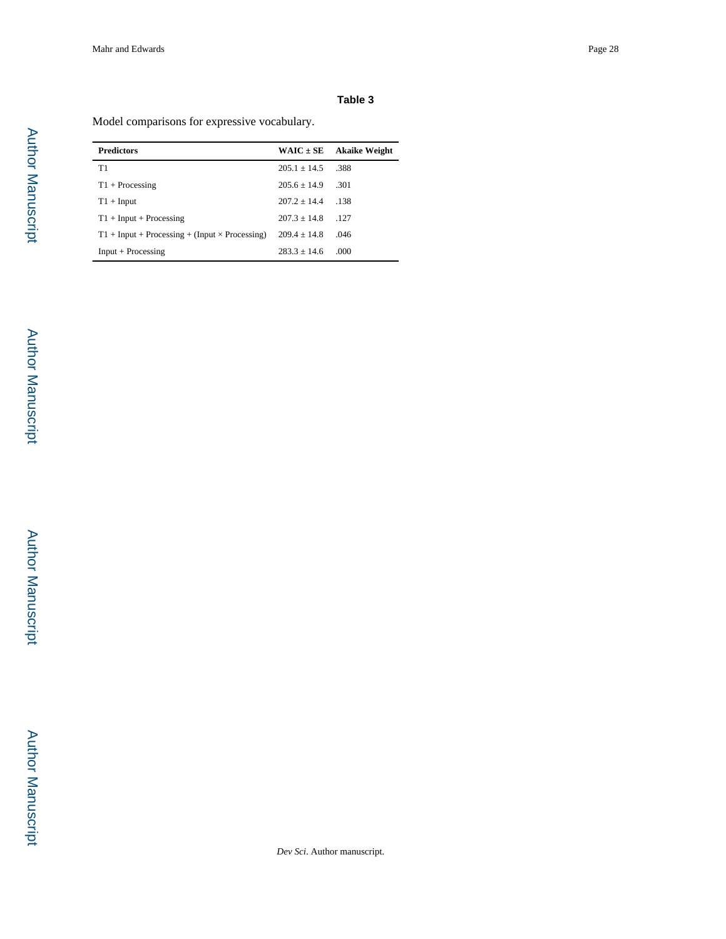Model comparisons for expressive vocabulary.

| <b>Predictors</b>                                     | $WAIC \pm SE$  | <b>Akaike Weight</b> |
|-------------------------------------------------------|----------------|----------------------|
| T1                                                    | $205.1 + 14.5$ | .388                 |
| $T1 + Processing$                                     | $205.6 + 14.9$ | .301                 |
| $T1 + Input$                                          | $207.2 + 14.4$ | .138                 |
| $T1 + Input + Processing$                             | $207.3 + 14.8$ | .127                 |
| $T1 + Input + Processing + (Input \times Processing)$ | $209.4 + 14.8$ | .046                 |
| $Input + Processing$                                  | $283.3 + 14.6$ | .000                 |